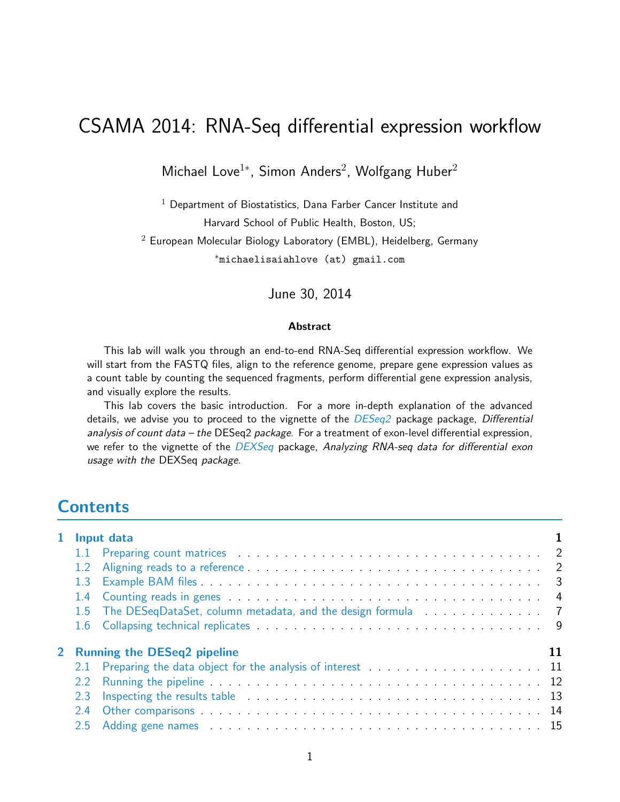# CSAMA 2014: RNA-Seq differential expression workflow

Michael Love<sup>1</sup>\*, Simon Anders<sup>2</sup>, Wolfgang Huber<sup>2</sup>

 $1$  Department of Biostatistics, Dana Farber Cancer Institute and Harvard School of Public Health, Boston, US;  $2$  European Molecular Biology Laboratory (EMBL), Heidelberg, Germany <sup>∗</sup>michaelisaiahlove (at) gmail.com

June 30, 2014

#### Abstract

This lab will walk you through an end-to-end RNA-Seq differential expression workflow. We will start from the FASTQ files, align to the reference genome, prepare gene expression values as a count table by counting the sequenced fragments, perform differential gene expression analysis, and visually explore the results.

This lab covers the basic introduction. For a more in-depth explanation of the advanced details, we advise you to proceed to the vignette of the  $DESeq2$  package package, Differential analysis of count data – the DESeq2 package. For a treatment of exon-level differential expression, we refer to the vignette of the [DEXSeq](http://bioconductor.org/packages/release/bioc/html/DEXSeq.html) package, Analyzing RNA-seq data for differential exon usage with the DEXSeq package.

## **Contents**

|     | 1 Input data                                                    |  |  |  |  |  |  |  |  |  |  |  |
|-----|-----------------------------------------------------------------|--|--|--|--|--|--|--|--|--|--|--|
|     |                                                                 |  |  |  |  |  |  |  |  |  |  |  |
|     |                                                                 |  |  |  |  |  |  |  |  |  |  |  |
| 1.3 |                                                                 |  |  |  |  |  |  |  |  |  |  |  |
|     |                                                                 |  |  |  |  |  |  |  |  |  |  |  |
|     | 1.5 The DESeqDataSet, column metadata, and the design formula 7 |  |  |  |  |  |  |  |  |  |  |  |
|     |                                                                 |  |  |  |  |  |  |  |  |  |  |  |
|     | 2 Running the DESeq2 pipeline                                   |  |  |  |  |  |  |  |  |  |  |  |
|     |                                                                 |  |  |  |  |  |  |  |  |  |  |  |
| 2.2 |                                                                 |  |  |  |  |  |  |  |  |  |  |  |
| 2.3 |                                                                 |  |  |  |  |  |  |  |  |  |  |  |
| 2.4 |                                                                 |  |  |  |  |  |  |  |  |  |  |  |
| 2.5 |                                                                 |  |  |  |  |  |  |  |  |  |  |  |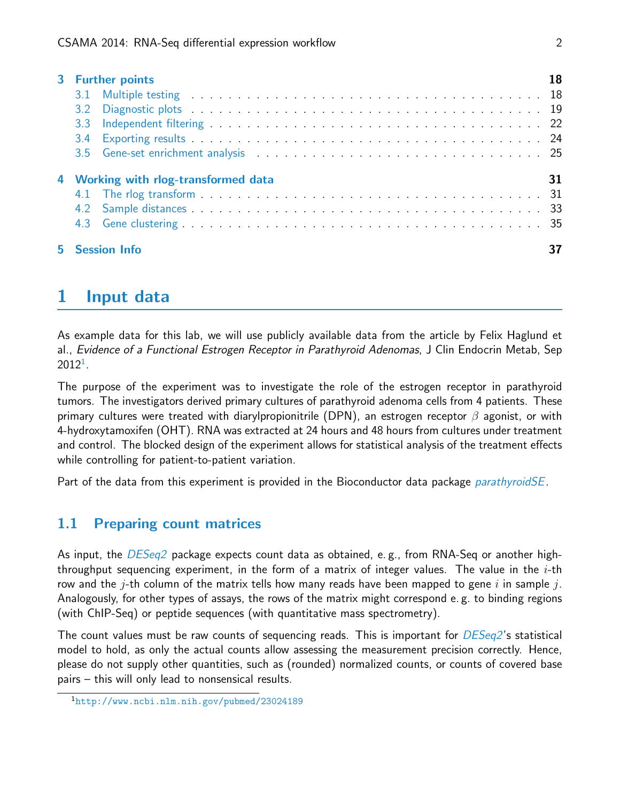|    | 3 Further points                                                                                                                                                                                                              | 18 |
|----|-------------------------------------------------------------------------------------------------------------------------------------------------------------------------------------------------------------------------------|----|
|    |                                                                                                                                                                                                                               |    |
|    |                                                                                                                                                                                                                               |    |
|    |                                                                                                                                                                                                                               |    |
|    |                                                                                                                                                                                                                               |    |
|    | 3.5 Gene-set enrichment analysis entitled and such a set of the set of the set of the set of the set of the set of the set of the set of the set of the set of the set of the set of the set of the set of the set of the set |    |
|    | 4 Working with rlog-transformed data                                                                                                                                                                                          | 31 |
|    |                                                                                                                                                                                                                               |    |
|    |                                                                                                                                                                                                                               |    |
|    |                                                                                                                                                                                                                               |    |
| 5. | <b>Session Info</b>                                                                                                                                                                                                           |    |

# <span id="page-1-0"></span>1 Input data

As example data for this lab, we will use publicly available data from the article by Felix Haglund et al., Evidence of a Functional Estrogen Receptor in Parathyroid Adenomas, J Clin Endocrin Metab, Sep  $2012^1$  $2012^1$  $2012^1$ .

The purpose of the experiment was to investigate the role of the estrogen receptor in parathyroid tumors. The investigators derived primary cultures of parathyroid adenoma cells from 4 patients. These primary cultures were treated with diarylpropionitrile (DPN), an estrogen receptor  $\beta$  agonist, or with 4-hydroxytamoxifen (OHT). RNA was extracted at 24 hours and 48 hours from cultures under treatment and control. The blocked design of the experiment allows for statistical analysis of the treatment effects while controlling for patient-to-patient variation.

Part of the data from this experiment is provided in the Bioconductor data package *[parathyroidSE](http://bioconductor.org/packages/release/data/experiment/html/parathyroidSE.html)*.

## <span id="page-1-1"></span>1.1 Preparing count matrices

As input, the  $DESeq2$  package expects count data as obtained, e.g., from RNA-Seq or another highthroughput sequencing experiment, in the form of a matrix of integer values. The value in the  $i$ -th row and the j-th column of the matrix tells how many reads have been mapped to gene i in sample j. Analogously, for other types of assays, the rows of the matrix might correspond e. g. to binding regions (with ChIP-Seq) or peptide sequences (with quantitative mass spectrometry).

The count values must be raw counts of sequencing reads. This is important for  $DESeq2$ 's statistical model to hold, as only the actual counts allow assessing the measurement precision correctly. Hence, please do not supply other quantities, such as (rounded) normalized counts, or counts of covered base pairs – this will only lead to nonsensical results.

<span id="page-1-2"></span><sup>1</sup><http://www.ncbi.nlm.nih.gov/pubmed/23024189>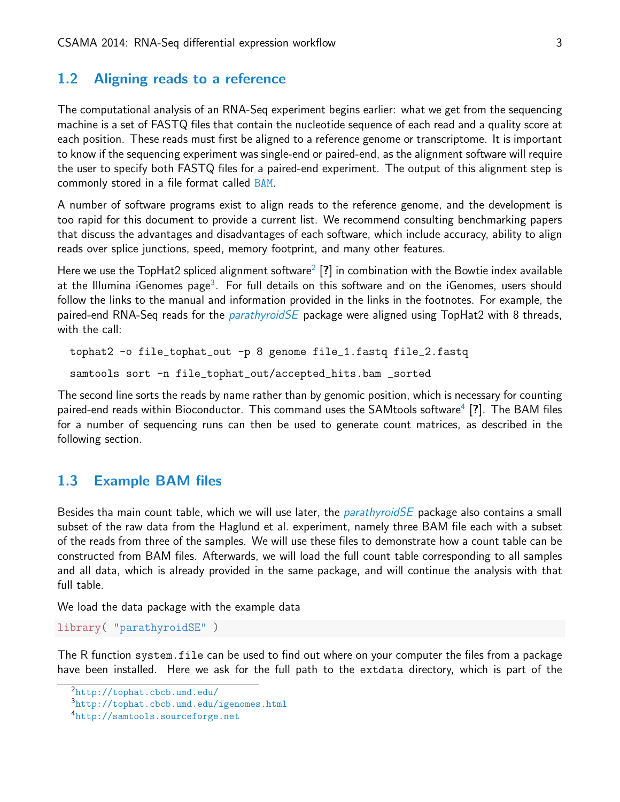## <span id="page-2-0"></span>1.2 Aligning reads to a reference

The computational analysis of an RNA-Seq experiment begins earlier: what we get from the sequencing machine is a set of FASTQ files that contain the nucleotide sequence of each read and a quality score at each position. These reads must first be aligned to a reference genome or transcriptome. It is important to know if the sequencing experiment was single-end or paired-end, as the alignment software will require the user to specify both FASTQ files for a paired-end experiment. The output of this alignment step is commonly stored in a file format called [BAM](http://samtools.github.io/hts-specs).

A number of software programs exist to align reads to the reference genome, and the development is too rapid for this document to provide a current list. We recommend consulting benchmarking papers that discuss the advantages and disadvantages of each software, which include accuracy, ability to align reads over splice junctions, speed, memory footprint, and many other features.

Here we use the TopHat[2](#page-2-2) spliced alignment software $^2$  [?] in combination with the Bowtie index available at the Illumina iGenomes page<sup>[3](#page-2-3)</sup>. For full details on this software and on the iGenomes, users should follow the links to the manual and information provided in the links in the footnotes. For example, the paired-end RNA-Seq reads for the *[parathyroidSE](http://bioconductor.org/packages/release/data/experiment/html/parathyroidSE.html)* package were aligned using TopHat2 with 8 threads, with the call:

```
tophat2 -o file_tophat_out -p 8 genome file_1.fastq file_2.fastq
samtools sort -n file_tophat_out/accepted_hits.bam _sorted
```
The second line sorts the reads by name rather than by genomic position, which is necessary for counting paired-end reads within Bioconductor. This command uses the SAMtools software $^4$  $^4$  [?]. The BAM files for a number of sequencing runs can then be used to generate count matrices, as described in the following section.

### <span id="page-2-1"></span>1.3 Example BAM files

Besides tha main count table, which we will use later, the *[parathyroidSE](http://bioconductor.org/packages/release/data/experiment/html/parathyroidSE.html)* package also contains a small subset of the raw data from the Haglund et al. experiment, namely three BAM file each with a subset of the reads from three of the samples. We will use these files to demonstrate how a count table can be constructed from BAM files. Afterwards, we will load the full count table corresponding to all samples and all data, which is already provided in the same package, and will continue the analysis with that full table.

We load the data package with the example data

```
library( "parathyroidSE" )
```
The R function system.file can be used to find out where on your computer the files from a package have been installed. Here we ask for the full path to the extdata directory, which is part of the

<span id="page-2-2"></span><sup>2</sup><http://tophat.cbcb.umd.edu/>

<span id="page-2-3"></span><sup>3</sup><http://tophat.cbcb.umd.edu/igenomes.html>

<span id="page-2-4"></span><sup>4</sup><http://samtools.sourceforge.net>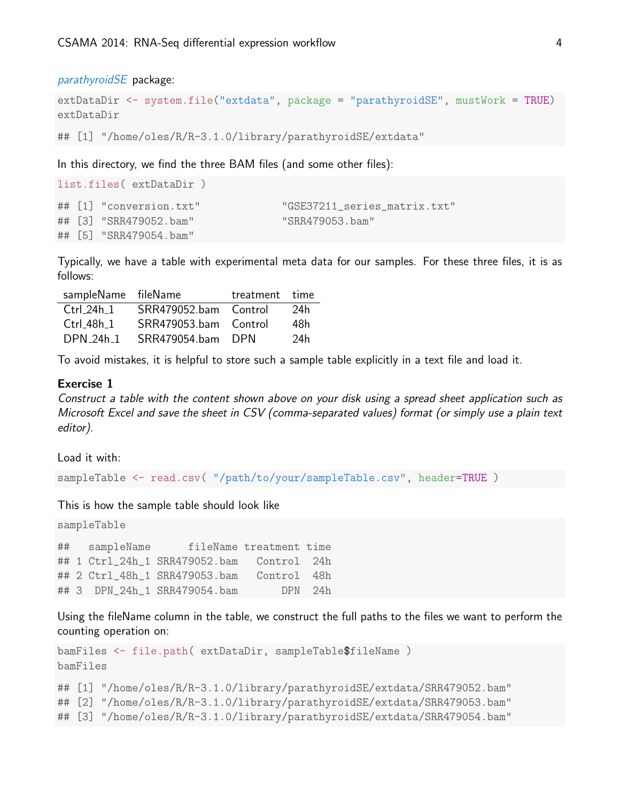#### [parathyroidSE](http://bioconductor.org/packages/release/data/experiment/html/parathyroidSE.html) package:

```
extDataDir <- system.file("extdata", package = "parathyroidSE", mustWork = TRUE)
extDataDir
```

```
## [1] "/home/oles/R/R-3.1.0/library/parathyroidSE/extdata"
```
In this directory, we find the three BAM files (and some other files):

|  | "GSE37211_series_matrix.txt"                                                                          |
|--|-------------------------------------------------------------------------------------------------------|
|  | "SRR479053.bam"                                                                                       |
|  |                                                                                                       |
|  | list.files(extDataDir)<br>## [1] "conversion.txt"<br>## [3] "SRR479052.bam"<br>## [5] "SRR479054.bam" |

Typically, we have a table with experimental meta data for our samples. For these three files, it is as follows:

| sampleName fileName |                       | treatment time |     |
|---------------------|-----------------------|----------------|-----|
| $Ctrl_24h_1$        | SRR479052.bam Control |                | 24h |
| Ctrl 48h 1          | SRR479053.bam Control |                | 48h |
| $DPN_24h_1$         | SRR479054.bam DPN     |                | 24h |

To avoid mistakes, it is helpful to store such a sample table explicitly in a text file and load it.

#### Exercise 1

Construct a table with the content shown above on your disk using a spread sheet application such as Microsoft Excel and save the sheet in CSV (comma-separated values) format (or simply use a plain text editor).

Load it with:

```
sampleTable <- read.csv( "/path/to/your/sampleTable.csv", header=TRUE )
```
#### This is how the sample table should look like

```
sampleTable
## sampleName fileName treatment time
## 1 Ctrl_24h_1 SRR479052.bam Control 24h
## 2 Ctrl_48h_1 SRR479053.bam Control 48h
## 3 DPN_24h_1 SRR479054.bam DPN 24h
```
Using the fileName column in the table, we construct the full paths to the files we want to perform the counting operation on:

```
bamFiles <- file.path( extDataDir, sampleTable$fileName )
bamFiles
```

```
## [1] "/home/oles/R/R-3.1.0/library/parathyroidSE/extdata/SRR479052.bam"
```

```
## [2] "/home/oles/R/R-3.1.0/library/parathyroidSE/extdata/SRR479053.bam"
```

```
## [3] "/home/oles/R/R-3.1.0/library/parathyroidSE/extdata/SRR479054.bam"
```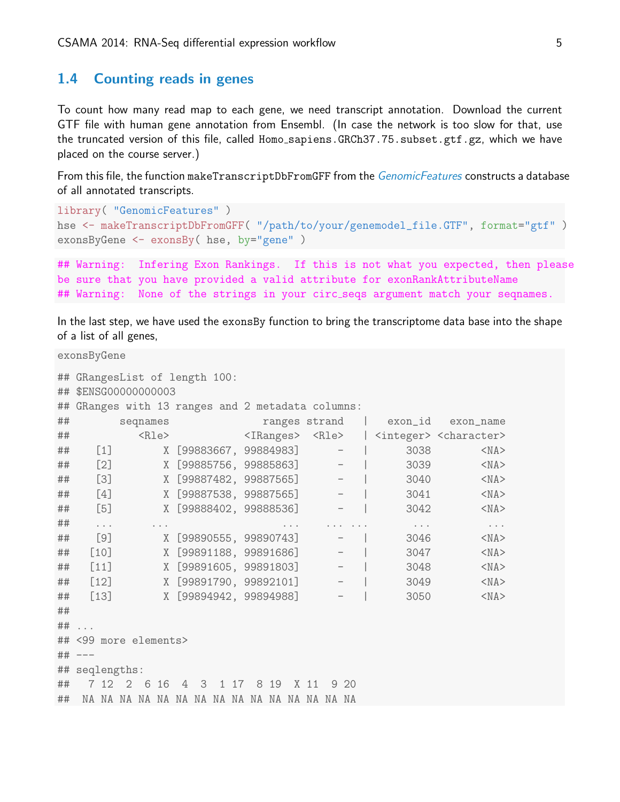## <span id="page-4-0"></span>1.4 Counting reads in genes

To count how many read map to each gene, we need transcript annotation. Download the current GTF file with human gene annotation from Ensembl. (In case the network is too slow for that, use the truncated version of this file, called Homo\_sapiens.GRCh37.75.subset.gtf.gz, which we have placed on the course server.)

From this file, the function makeTranscriptDbFromGFF from the [GenomicFeatures](http://bioconductor.org/packages/release/bioc/html/GenomicFeatures.html) constructs a database of all annotated transcripts.

```
library( "GenomicFeatures" )
hse <- makeTranscriptDbFromGFF( "/path/to/your/genemodel_file.GTF", format="gtf" )
exonsByGene <- exonsBy( hse, by="gene" )
```

```
## Warning: Infering Exon Rankings. If this is not what you expected, then please
be sure that you have provided a valid attribute for exonRankAttributeName
## Warning: None of the strings in your circ_seqs argument match your seqnames.
```
In the last step, we have used the exonsBy function to bring the transcriptome data base into the shape of a list of all genes,

exonsByGene

|    | ## GRangesList of length 100:                     |                                   |          |          |  |                          |      |      |                          |                      |                                                                                           |
|----|---------------------------------------------------|-----------------------------------|----------|----------|--|--------------------------|------|------|--------------------------|----------------------|-------------------------------------------------------------------------------------------|
|    | ## \$ENSG00000000003                              |                                   |          |          |  |                          |      |      |                          |                      |                                                                                           |
|    | ## GRanges with 13 ranges and 2 metadata columns: |                                   |          |          |  |                          |      |      |                          |                      |                                                                                           |
| ## |                                                   | seqnames                          |          |          |  |                          |      |      |                          |                      | ranges strand   exon_id exon_name                                                         |
| ## |                                                   |                                   |          |          |  |                          |      |      |                          |                      | <rle> <iranges> <rle>   <integer> <character></character></integer></rle></iranges></rle> |
| ## |                                                   | $\begin{bmatrix} 1 \end{bmatrix}$ |          |          |  | X [99883667, 99884983]   |      |      | $ \vert$                 | 3038                 | $<$ NA $>$                                                                                |
| ## |                                                   | [2]                               |          |          |  |                          |      |      | X [99885756, 99885863] - | 3039                 | $<$ NA $>$                                                                                |
| ## |                                                   | [3]                               |          |          |  |                          |      |      | X [99887482, 99887565] - | 3040                 | $<$ NA $>$                                                                                |
| ## |                                                   | [4]                               |          |          |  |                          |      |      | X [99887538, 99887565] - |                      | 3041<br>$<$ NA $>$                                                                        |
| ## | $[5]$                                             |                                   |          |          |  | X [99888402, 99888536] - |      |      |                          | 3042                 | $<$ NA $>$                                                                                |
| ## | $\cdots$                                          |                                   | $\cdots$ |          |  |                          |      |      |                          | $\sim$ $\sim$ $\sim$ | $\epsilon \rightarrow \infty$                                                             |
| ## |                                                   | [9]                               |          |          |  | X [99890555, 99890743]   |      |      |                          |                      | $<$ NA $>$<br>3046                                                                        |
| ## | [10]                                              |                                   |          |          |  |                          |      |      | X [99891188, 99891686] - | 3047                 | $<$ NA $>$                                                                                |
| ## | [11]                                              |                                   |          |          |  |                          |      |      | X [99891605, 99891803] - | 3048                 | $<$ NA $>$                                                                                |
| ## | [12]                                              |                                   |          |          |  |                          |      |      | X [99891790, 99892101] - | 3049                 | $<$ NA $>$                                                                                |
| ## | $[13]$                                            | X [99894942, 99894988]            |          |          |  |                          |      |      | $\overline{\phantom{m}}$ | 3050                 | $<$ NA $>$                                                                                |
| ## |                                                   |                                   |          |          |  |                          |      |      |                          |                      |                                                                                           |
|    | $\#$ # $\ldots$                                   |                                   |          |          |  |                          |      |      |                          |                      |                                                                                           |
|    | ## <99 more elements>                             |                                   |          |          |  |                          |      |      |                          |                      |                                                                                           |
|    | $\#$ # $---$                                      |                                   |          |          |  |                          |      |      |                          |                      |                                                                                           |
|    | ## seqlengths:                                    |                                   |          |          |  |                          |      |      |                          |                      |                                                                                           |
| ## | 7 12 2 6 16                                       |                                   |          | 4 3 1 17 |  |                          | 8 19 | X 11 | 920                      |                      |                                                                                           |
| ## |                                                   |                                   |          |          |  |                          |      |      |                          |                      |                                                                                           |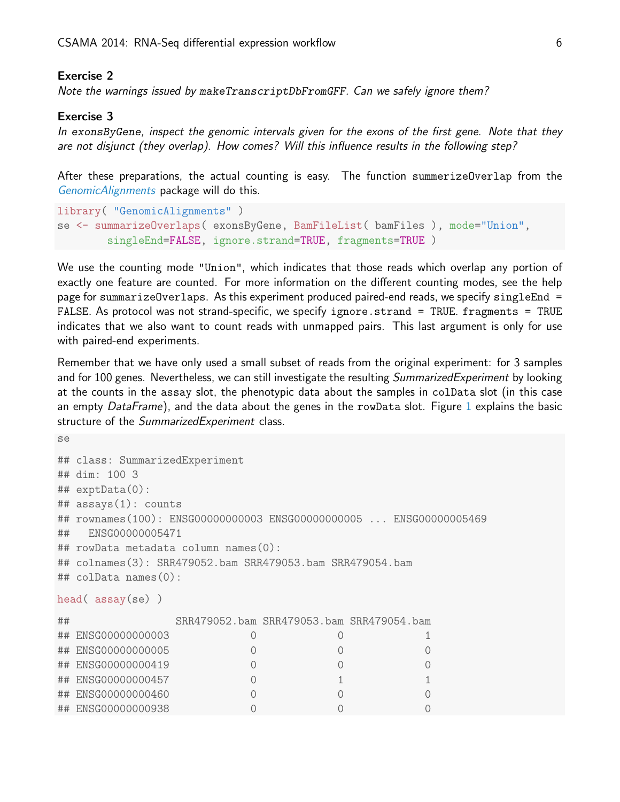#### Exercise 2

Note the warnings issued by makeTranscriptDbFromGFF. Can we safely ignore them?

#### Exercise 3

In exonsByGene, inspect the genomic intervals given for the exons of the first gene. Note that they are not disjunct (they overlap). How comes? Will this influence results in the following step?

After these preparations, the actual counting is easy. The function summerizeOverlap from the [GenomicAlignments](http://bioconductor.org/packages/release/bioc/html/GenomicAlignments.html) package will do this.

```
library( "GenomicAlignments" )
se <- summarizeOverlaps( exonsByGene, BamFileList( bamFiles ), mode="Union",
        singleEnd=FALSE, ignore.strand=TRUE, fragments=TRUE )
```
We use the counting mode "Union", which indicates that those reads which overlap any portion of exactly one feature are counted. For more information on the different counting modes, see the help page for summarizeOverlaps. As this experiment produced paired-end reads, we specify singleEnd = FALSE. As protocol was not strand-specific, we specify ignore.strand = TRUE. fragments = TRUE indicates that we also want to count reads with unmapped pairs. This last argument is only for use with paired-end experiments.

Remember that we have only used a small subset of reads from the original experiment: for 3 samples and for 100 genes. Nevertheless, we can still investigate the resulting *SummarizedExperiment* by looking at the counts in the assay slot, the phenotypic data about the samples in colData slot (in this case an empty DataFrame), and the data about the genes in the rowData slot. Figure [1](#page-7-1) explains the basic structure of the SummarizedExperiment class.

```
se
## class: SummarizedExperiment
## dim: 100 3
## exptData(0):
## assays(1): counts
## rownames(100): ENSG00000000003 ENSG00000000005 ... ENSG00000005469
## ENSG00000005471
## rowData metadata column names(0):
## colnames(3): SRR479052.bam SRR479053.bam SRR479054.bam
## colData names(0):
head( assay(se) )
## SRR479052.bam SRR479053.bam SRR479054.bam
## ENSG00000000003 0 0 1
## ENSG00000000005 0 0 0
## ENSG00000000419 0 0 0
## ENSG00000000457 0 1 1
## ENSG00000000460 0 0 0
## ENSG00000000938 0 0 0
```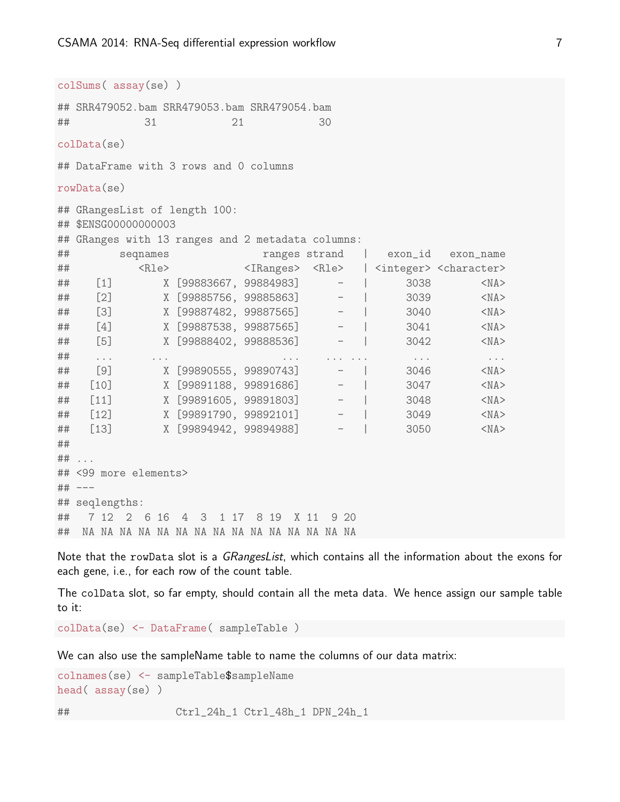colSums( assay(se) ) ## SRR479052.bam SRR479053.bam SRR479054.bam **## 31 21 30** colData(se) ## DataFrame with 3 rows and 0 columns rowData(se) ## GRangesList of length 100: ## \$ENSG00000000003 ## GRanges with 13 ranges and 2 metadata columns: ## seqnames ranges strand | exon\_id exon\_name ## <Rle> <IRanges> <Rle> | <integer> <character> ## [1] X [99883667, 99884983] - | 3038 <NA> ## [2] X [99885756, 99885863] - | 3039 <NA> ## [3] X [99887482, 99887565] - | 3040 <NA> ## [4] X [99887538, 99887565] - | 3041 <NA> ## [5] X [99888402, 99888536] - | 3042 <NA> ## ... ... ... ... ... ... ... ## [9] X [99890555, 99890743] - | 3046 <NA> ## [10] X [99891188, 99891686] - | 3047 <NA> ## [11] X [99891605, 99891803] - | 3048 <NA> ## [12] X [99891790, 99892101] - | 3049 <NA> ## [13] X [99894942, 99894988] - | 3050 <NA> ## ## ... ## <99 more elements> ## --- ## seqlengths: ## 7 12 2 6 16 4 3 1 17 8 19 X 11 9 20 ## NA NA NA NA NA NA NA NA NA NA NA NA NA NA NA

Note that the rowData slot is a GRangesList, which contains all the information about the exons for each gene, i.e., for each row of the count table.

The colData slot, so far empty, should contain all the meta data. We hence assign our sample table to it:

colData(se) <- DataFrame( sampleTable )

We can also use the sampleName table to name the columns of our data matrix:

```
colnames(se) <- sampleTable$sampleName
head( assay(se) )
```
## Ctrl\_24h\_1 Ctrl\_48h\_1 DPN\_24h\_1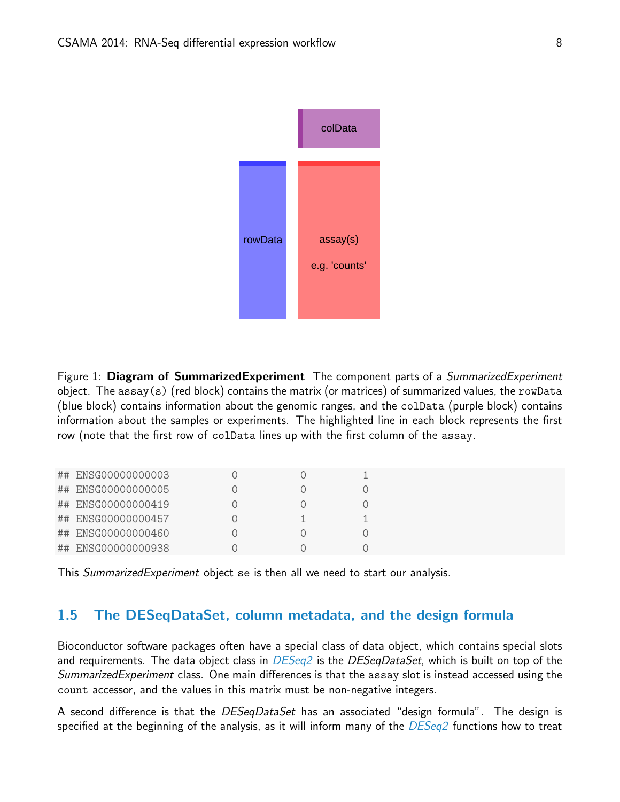

<span id="page-7-1"></span>Figure 1: Diagram of SummarizedExperiment The component parts of a *SummarizedExperiment* object. The assay(s) (red block) contains the matrix (or matrices) of summarized values, the rowData (blue block) contains information about the genomic ranges, and the colData (purple block) contains information about the samples or experiments. The highlighted line in each block represents the first row (note that the first row of colData lines up with the first column of the assay.

| ## ENSG00000000003 |  |  |
|--------------------|--|--|
| ## ENSG00000000005 |  |  |
| ## ENSG00000000419 |  |  |
| ## ENSG00000000457 |  |  |
| ## ENSG00000000460 |  |  |
| ## ENSG00000000938 |  |  |

This SummarizedExperiment object se is then all we need to start our analysis.

## <span id="page-7-0"></span>1.5 The DESeqDataSet, column metadata, and the design formula

Bioconductor software packages often have a special class of data object, which contains special slots and requirements. The data object class in  $DESeq2$  is the  $DESeqDataSet$ , which is built on top of the SummarizedExperiment class. One main differences is that the assay slot is instead accessed using the count accessor, and the values in this matrix must be non-negative integers.

A second difference is that the *DESeqDataSet* has an associated "design formula". The design is specified at the beginning of the analysis, as it will inform many of the [DESeq2](http://bioconductor.org/packages/release/bioc/html/DESeq2.html) functions how to treat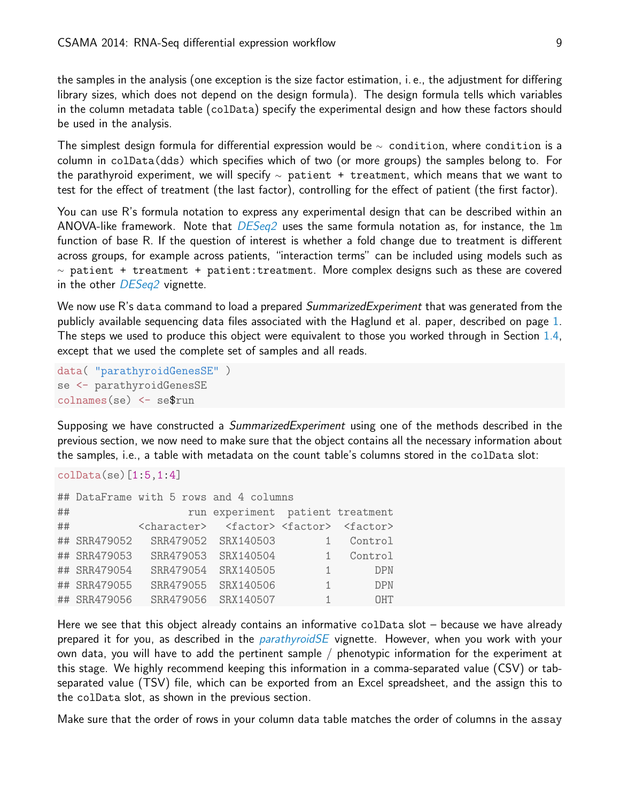the samples in the analysis (one exception is the size factor estimation, i. e., the adjustment for differing library sizes, which does not depend on the design formula). The design formula tells which variables in the column metadata table (colData) specify the experimental design and how these factors should be used in the analysis.

The simplest design formula for differential expression would be  $\sim$  condition, where condition is a column in colData(dds) which specifies which of two (or more groups) the samples belong to. For the parathyroid experiment, we will specify  $\sim$  patient + treatment, which means that we want to test for the effect of treatment (the last factor), controlling for the effect of patient (the first factor).

You can use R's formula notation to express any experimental design that can be described within an ANOVA-like framework. Note that  $DESeq2$  uses the same formula notation as, for instance, the  $Im$ function of base R. If the question of interest is whether a fold change due to treatment is different across groups, for example across patients, "interaction terms" can be included using models such as  $\sim$  patient + treatment + patient: treatment. More complex designs such as these are covered in the other [DESeq2](http://bioconductor.org/packages/release/bioc/html/DESeq2.html) vignette.

We now use R's data command to load a prepared *SummarizedExperiment* that was generated from the publicly available sequencing data files associated with the Haglund et al. paper, described on page [1.](#page-1-0) The steps we used to produce this object were equivalent to those you worked through in Section [1.4,](#page-4-0) except that we used the complete set of samples and all reads.

```
data( "parathyroidGenesSE" )
se <- parathyroidGenesSE
colnames(se) <- se$run
```
Supposing we have constructed a *SummarizedExperiment* using one of the methods described in the previous section, we now need to make sure that the object contains all the necessary information about the samples, i.e., a table with metadata on the count table's columns stored in the colData slot:

#### colData(se)[1:5,1:4]

|    |              | ## DataFrame with 5 rows and 4 columns                                      |                                  |                |            |
|----|--------------|-----------------------------------------------------------------------------|----------------------------------|----------------|------------|
| ## |              |                                                                             | run experiment patient treatment |                |            |
| ## |              | <character> <factor><factor><factor></factor></factor></factor></character> |                                  |                |            |
|    | ## SRR479052 |                                                                             | SRR479052 SRX140503              |                | Control    |
|    | ## SRR479053 |                                                                             | SRR479053 SRX140504              |                | Control    |
|    | ## SRR479054 |                                                                             | SRR479054 SRX140505              | $\overline{1}$ | <b>DPN</b> |
|    | ## SRR479055 |                                                                             | SRR479055 SRX140506              | $\mathbf{1}$   | <b>DPN</b> |
|    | ## SRR479056 |                                                                             | SRR479056 SRX140507              | 1              | <b>OHT</b> |

Here we see that this object already contains an informative colData slot – because we have already prepared it for you, as described in the *[parathyroidSE](http://bioconductor.org/packages/release/data/experiment/html/parathyroidSE.html)* vignette. However, when you work with your own data, you will have to add the pertinent sample / phenotypic information for the experiment at this stage. We highly recommend keeping this information in a comma-separated value (CSV) or tabseparated value (TSV) file, which can be exported from an Excel spreadsheet, and the assign this to the colData slot, as shown in the previous section.

Make sure that the order of rows in your column data table matches the order of columns in the assay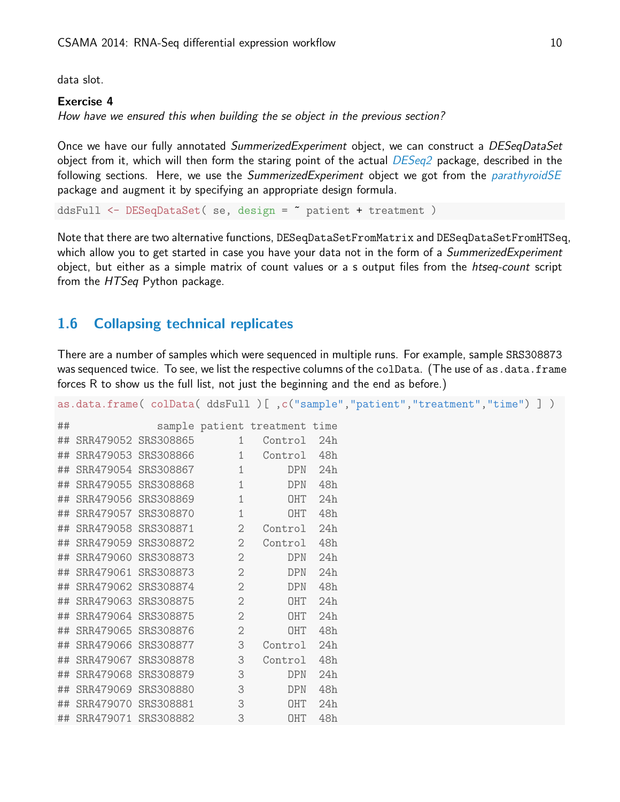data slot.

#### Exercise 4

How have we ensured this when building the se object in the previous section?

Once we have our fully annotated *SummerizedExperiment* object, we can construct a *DESeqDataSet* object from it, which will then form the staring point of the actual [DESeq2](http://bioconductor.org/packages/release/bioc/html/DESeq2.html) package, described in the following sections. Here, we use the SummerizedExperiment object we got from the [parathyroidSE](http://bioconductor.org/packages/release/data/experiment/html/parathyroidSE.html) package and augment it by specifying an appropriate design formula.

ddsFull <- DESeqDataSet( se, design = " patient + treatment )

Note that there are two alternative functions, DESeqDataSetFromMatrix and DESeqDataSetFromHTSeq, which allow you to get started in case you have your data not in the form of a SummerizedExperiment object, but either as a simple matrix of count values or a s output files from the htseq-count script from the HTSeq Python package.

### <span id="page-9-0"></span>1.6 Collapsing technical replicates

There are a number of samples which were sequenced in multiple runs. For example, sample SRS308873 was sequenced twice. To see, we list the respective columns of the colData. (The use of as .data.frame forces R to show us the full list, not just the beginning and the end as before.)

|    |                          |                |                               |     | as.data.frame(colData(ddsFull)[,c("sample","patient","treatment","time")]) |
|----|--------------------------|----------------|-------------------------------|-----|----------------------------------------------------------------------------|
| ## |                          |                | sample patient treatment time |     |                                                                            |
|    | ## SRR479052 SRS308865   |                | 1 Control 24h                 |     |                                                                            |
|    | ## SRR479053 SRS308866 1 |                | Control 48h                   |     |                                                                            |
|    | ## SRR479054 SRS308867 1 |                | <b>DPN</b>                    | 24h |                                                                            |
|    | ## SRR479055 SRS308868   | $\mathbf{1}$   | <b>DPN</b>                    | 48h |                                                                            |
|    | ## SRR479056 SRS308869   | $\mathbf{1}$   | OHT                           | 24h |                                                                            |
|    | ## SRR479057 SRS308870   | $\mathbf{1}$   | OHT                           | 48h |                                                                            |
|    | ## SRR479058 SRS308871   | $\overline{2}$ | Control                       | 24h |                                                                            |
|    | ## SRR479059 SRS308872 2 |                | Control                       | 48h |                                                                            |
|    | ## SRR479060 SRS308873   | $\overline{2}$ | <b>DPN</b>                    | 24h |                                                                            |
|    | ## SRR479061 SRS308873   | $\mathbf{2}$   | DPN                           | 24h |                                                                            |
|    | ## SRR479062 SRS308874   | $\overline{2}$ | DPN                           | 48h |                                                                            |
|    | ## SRR479063 SRS308875   | $\sim$ 2       | OHT                           | 24h |                                                                            |
|    | ## SRR479064 SRS308875   | $\mathbf{2}$   | OHT                           | 24h |                                                                            |
|    | ## SRR479065 SRS308876   | $\mathbf{2}$   | OHT                           | 48h |                                                                            |
|    | ## SRR479066 SRS308877 3 |                | Control                       | 24h |                                                                            |
|    | ## SRR479067 SRS308878   | 3              | Control                       | 48h |                                                                            |
|    | ## SRR479068 SRS308879   | $\mathsf 3$    | <b>DPN</b>                    | 24h |                                                                            |
|    | ## SRR479069 SRS308880   | 3              | <b>DPN</b>                    | 48h |                                                                            |
|    | ## SRR479070 SRS308881   | 3              | OHT                           | 24h |                                                                            |
|    | ## SRR479071 SRS308882   | 3              | OHT                           | 48h |                                                                            |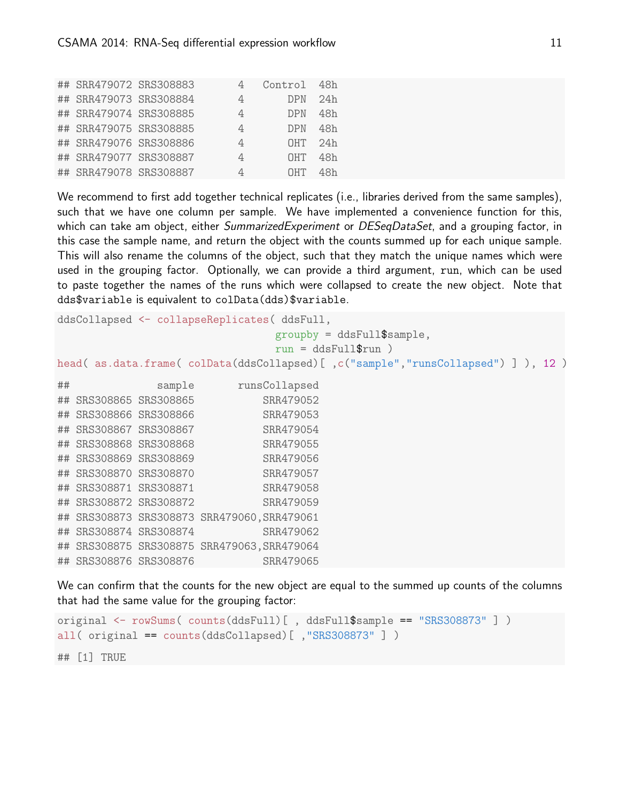|                        | ## SRR479072 SRS308883 |   | Control 48h |              |  |  |
|------------------------|------------------------|---|-------------|--------------|--|--|
| ## SRR479073 SRS308884 |                        | 4 | DPN 24h     |              |  |  |
| ## SRR479074 SRS308885 |                        | 4 | <b>DPN</b>  | 48h          |  |  |
| ## SRR479075 SRS308885 |                        | 4 | DPN         | 48h          |  |  |
| ## SRR479076 SRS308886 |                        | 4 |             | $OHT$ 24 $h$ |  |  |
| ## SRR479077 SRS308887 |                        | 4 | <b>OHT</b>  | 48h          |  |  |
| ## SRR479078 SRS308887 |                        |   | NHT.        | 48h          |  |  |

We recommend to first add together technical replicates (i.e., libraries derived from the same samples), such that we have one column per sample. We have implemented a convenience function for this, which can take am object, either *SummarizedExperiment* or *DESeqDataSet*, and a grouping factor, in this case the sample name, and return the object with the counts summed up for each unique sample. This will also rename the columns of the object, such that they match the unique names which were used in the grouping factor. Optionally, we can provide a third argument, run, which can be used to paste together the names of the runs which were collapsed to create the new object. Note that dds\$variable is equivalent to colData(dds)\$variable.

```
ddsCollapsed <- collapseReplicates( ddsFull,
                             groupby = ddsFull$sample,
                             run = ddsFull$run)head( as.data.frame( colData(ddsCollapsed)[ ,c("sample","runsCollapsed") ] ), 12 )
## sample runsCollapsed
## SRS308865 SRS308865 SRR479052
## SRS308866 SRS308866 SRR479053
## SRS308867 SRS308867 SRR479054
## SRS308868 SRS308868 SRR479055
## SRS308869 SRS308869 SRR479056
## SRS308870 SRS308870 SRR479057
## SRS308871 SRS308871 SRR479058
## SRS308872 SRS308872 SRR479059
## SRS308873 SRS308873 SRR479060,SRR479061
## SRS308874 SRS308874 SRR479062
## SRS308875 SRS308875 SRR479063,SRR479064
## SRS308876 SRS308876 SRR479065
```
We can confirm that the counts for the new object are equal to the summed up counts of the columns that had the same value for the grouping factor:

```
original <- rowSums( counts(ddsFull)[ , ddsFull$sample == "SRS308873" ] )
all( original == counts(ddsCollapsed)[ ,"SRS308873" ] )
## [1] TRUE
```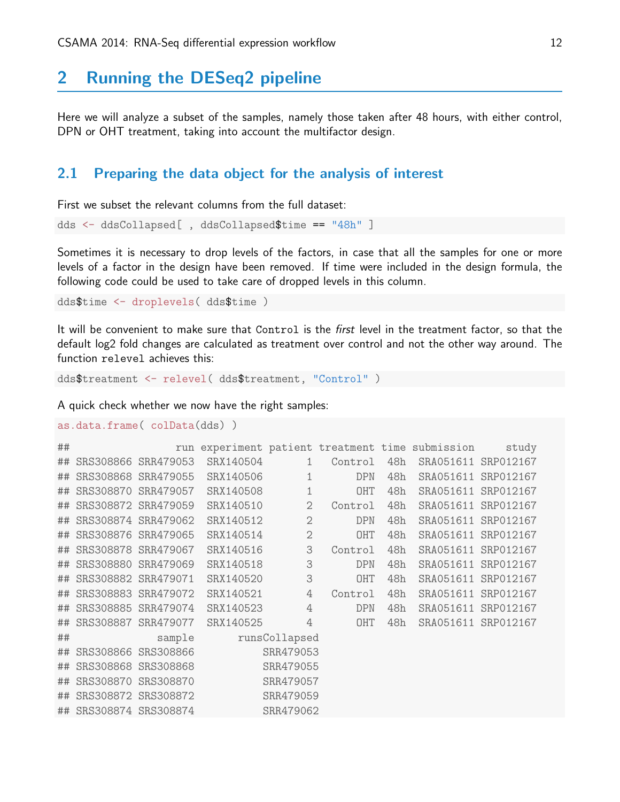## 2 Running the DESeq2 pipeline

Here we will analyze a subset of the samples, namely those taken after 48 hours, with either control, DPN or OHT treatment, taking into account the multifactor design.

## <span id="page-11-0"></span>2.1 Preparing the data object for the analysis of interest

First we subset the relevant columns from the full dataset:

```
dds <- ddsCollapsed[ , ddsCollapsed$time == "48h" ]
```
Sometimes it is necessary to drop levels of the factors, in case that all the samples for one or more levels of a factor in the design have been removed. If time were included in the design formula, the following code could be used to take care of dropped levels in this column.

dds\$time <- droplevels( dds\$time )

It will be convenient to make sure that Control is the *first* level in the treatment factor, so that the default log2 fold changes are calculated as treatment over control and not the other way around. The function relevel achieves this:

dds\$treatment <- relevel( dds\$treatment, "Control" )

A quick check whether we now have the right samples:

```
as.data.frame( colData(dds) )
```

| ## |                        |                     |           |                |            |     | run experiment patient treatment time submission | study               |
|----|------------------------|---------------------|-----------|----------------|------------|-----|--------------------------------------------------|---------------------|
| ## |                        | SRS308866 SRR479053 | SRX140504 | $\mathbf{1}$   | Control    | 48h | SRA051611 SRP012167                              |                     |
| ## |                        | SRS308868 SRR479055 | SRX140506 | 1              | <b>DPN</b> | 48h | SRA051611 SRP012167                              |                     |
| ## |                        | SRS308870 SRR479057 | SRX140508 | $\mathbf 1$    | OHT        | 48h | SRA051611 SRP012167                              |                     |
| ## |                        | SRS308872 SRR479059 | SRX140510 | $\overline{2}$ | Control    | 48h | SRA051611                                        | SRP012167           |
| ## |                        | SRS308874 SRR479062 | SRX140512 | $\overline{2}$ | <b>DPN</b> | 48h | SRA051611 SRP012167                              |                     |
| ## | SRS308876 SRR479065    |                     | SRX140514 | $\mathbf{2}$   | OHT        | 48h | SRA051611 SRP012167                              |                     |
| ## |                        | SRS308878 SRR479067 | SRX140516 | 3              | Control    | 48h | SRA051611 SRP012167                              |                     |
| ## | SRS308880 SRR479069    |                     | SRX140518 | 3              | <b>DPN</b> | 48h | SRA051611 SRP012167                              |                     |
| ## |                        | SRS308882 SRR479071 | SRX140520 | 3              | <b>OHT</b> | 48h | SRA051611 SRP012167                              |                     |
| ## |                        | SRS308883 SRR479072 | SRX140521 | $\overline{4}$ | Control    | 48h | SRA051611 SRP012167                              |                     |
| ## | SRS308885 SRR479074    |                     | SRX140523 | $\overline{4}$ | <b>DPN</b> | 48h | SRA051611 SRP012167                              |                     |
| ## |                        | SRS308887 SRR479077 | SRX140525 | $\overline{4}$ | OHT        | 48h |                                                  | SRA051611 SRP012167 |
| ## |                        | sample              |           | runsCollapsed  |            |     |                                                  |                     |
| ## | SRS308866 SRS308866    |                     |           | SRR479053      |            |     |                                                  |                     |
| ## | SRS308868 SRS308868    |                     |           | SRR479055      |            |     |                                                  |                     |
| ## | SRS308870 SRS308870    |                     |           | SRR479057      |            |     |                                                  |                     |
| ## | SRS308872 SRS308872    |                     | SRR479059 |                |            |     |                                                  |                     |
|    | ## SRS308874 SRS308874 |                     |           | SRR479062      |            |     |                                                  |                     |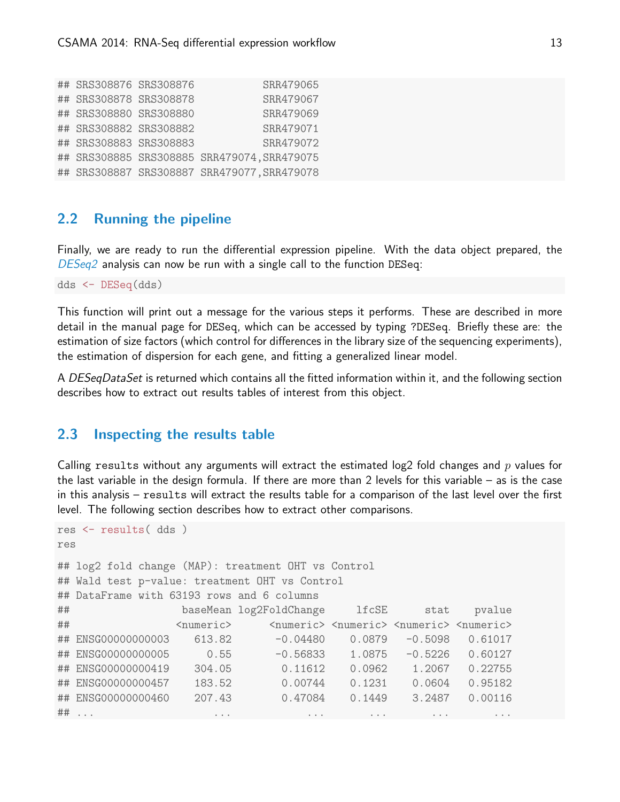| ## SRS308876 SRS308876 | SRR479065                                   |
|------------------------|---------------------------------------------|
| ## SRS308878 SRS308878 | SRR479067                                   |
| ## SRS308880 SRS308880 | SRR479069                                   |
| ## SRS308882 SRS308882 | SRR479071                                   |
| ## SRS308883 SRS308883 | SRR479072                                   |
|                        | ## SRS308885 SRS308885 SRR479074, SRR479075 |
|                        | ## SRS308887 SRS308887 SRR479077, SRR479078 |

## <span id="page-12-0"></span>2.2 Running the pipeline

Finally, we are ready to run the differential expression pipeline. With the data object prepared, the [DESeq2](http://bioconductor.org/packages/release/bioc/html/DESeq2.html) analysis can now be run with a single call to the function DESeq:

dds <- DESeq(dds)

This function will print out a message for the various steps it performs. These are described in more detail in the manual page for DESeq, which can be accessed by typing ?DESeq. Briefly these are: the estimation of size factors (which control for differences in the library size of the sequencing experiments), the estimation of dispersion for each gene, and fitting a generalized linear model.

A DESeqDataSet is returned which contains all the fitted information within it, and the following section describes how to extract out results tables of interest from this object.

### <span id="page-12-1"></span>2.3 Inspecting the results table

Calling results without any arguments will extract the estimated log2 fold changes and  $p$  values for the last variable in the design formula. If there are more than 2 levels for this variable – as is the case in this analysis – results will extract the results table for a comparison of the last level over the first level. The following section describes how to extract other comparisons.

```
res <- results( dds )
res
## log2 fold change (MAP): treatment OHT vs Control
## Wald test p-value: treatment OHT vs Control
## DataFrame with 63193 rows and 6 columns
## baseMean log2FoldChange lfcSE stat pvalue
## <numeric> <numeric> <numeric> <numeric> <numeric>
## ENSG00000000003 613.82 -0.04480 0.0879 -0.5098 0.61017
## ENSG00000000005 0.55 -0.56833 1.0875 -0.5226 0.60127
## ENSG00000000419 304.05 0.11612 0.0962 1.2067 0.22755
## ENSG00000000457 183.52 0.00744 0.1231 0.0604 0.95182
## ENSG00000000460 207.43 0.47084 0.1449 3.2487 0.00116
## ... ... ... ... ... ...
```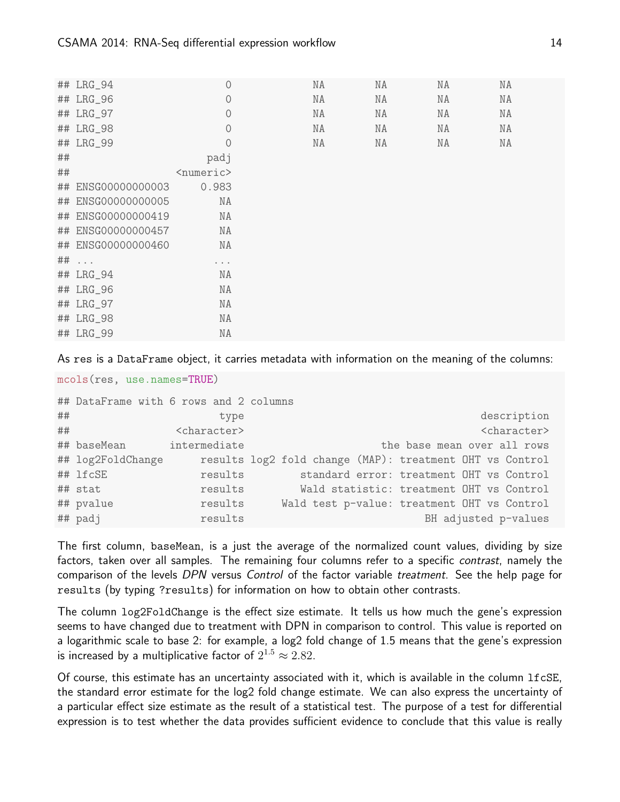|    | ## LRG_94          | $\circ$             | ΝA | ΝA | ΝA | ΝA |  |
|----|--------------------|---------------------|----|----|----|----|--|
|    | ## LRG_96          | $\circ$             | ΝA | ΝA | ΝA | ΝA |  |
|    | ## LRG_97          | $\circ$             | ΝA | NA | ΝA | ΝA |  |
|    | ## LRG_98          | $\overline{0}$      | ΝA | ΝA | ΝA | ΝA |  |
|    | ## LRG_99          | $\overline{0}$      | ΝA | ΝA | ΝA | NA |  |
| ## |                    | padj                |    |    |    |    |  |
| ## |                    | <numeric></numeric> |    |    |    |    |  |
|    | ## ENSG00000000003 | 0.983               |    |    |    |    |  |
|    | ## ENSG00000000005 | ΝA                  |    |    |    |    |  |
|    | ## ENSG00000000419 | NA                  |    |    |    |    |  |
|    | ## ENSG00000000457 | ΝA                  |    |    |    |    |  |
|    | ## ENSG00000000460 | ΝA                  |    |    |    |    |  |
|    | $\#$ #             | $\cdots$            |    |    |    |    |  |
|    | ## LRG_94          | ΝA                  |    |    |    |    |  |
|    | ## LRG_96          | ΝA                  |    |    |    |    |  |
|    | ## LRG_97          | ΝA                  |    |    |    |    |  |
|    | ## LRG_98          | ΝA                  |    |    |    |    |  |
|    | ## LRG_99          | ΝA                  |    |    |    |    |  |

As res is a DataFrame object, it carries metadata with information on the meaning of the columns:

```
mcols(res, use.names=TRUE)
```

|    | ## DataFrame with 6 rows and 2 columns |                         |                                                          |  |
|----|----------------------------------------|-------------------------|----------------------------------------------------------|--|
| ## |                                        | type                    | description                                              |  |
| ## |                                        | <character></character> | <character></character>                                  |  |
|    | ## baseMean                            | intermediate            | the base mean over all rows                              |  |
|    | ## log2FoldChange                      |                         | results log2 fold change (MAP): treatment OHT vs Control |  |
|    | ## lfcSE                               | results                 | standard error: treatment OHT vs Control                 |  |
|    | ## stat                                | results                 | Wald statistic: treatment OHT vs Control                 |  |
|    | ## pvalue                              | results                 | Wald test p-value: treatment OHT vs Control              |  |
|    | ## padj                                | results                 | BH adjusted p-values                                     |  |

The first column, baseMean, is a just the average of the normalized count values, dividing by size factors, taken over all samples. The remaining four columns refer to a specific *contrast*, namely the comparison of the levels DPN versus Control of the factor variable treatment. See the help page for results (by typing ?results) for information on how to obtain other contrasts.

The column log2FoldChange is the effect size estimate. It tells us how much the gene's expression seems to have changed due to treatment with DPN in comparison to control. This value is reported on a logarithmic scale to base 2: for example, a log2 fold change of 1.5 means that the gene's expression is increased by a multiplicative factor of  $2^{1.5} \approx 2.82.$ 

Of course, this estimate has an uncertainty associated with it, which is available in the column lfcSE, the standard error estimate for the log2 fold change estimate. We can also express the uncertainty of a particular effect size estimate as the result of a statistical test. The purpose of a test for differential expression is to test whether the data provides sufficient evidence to conclude that this value is really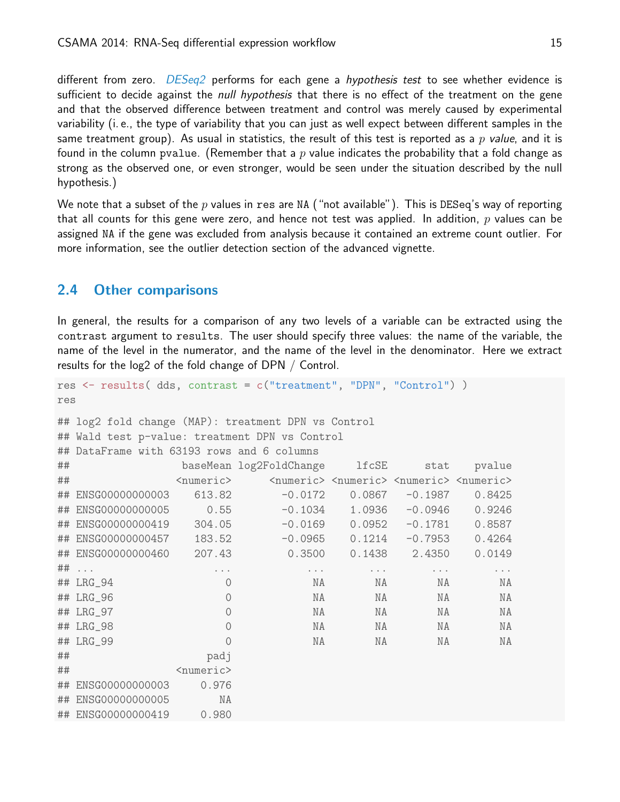different from zero.  $DESeq2$  performs for each gene a *hypothesis test* to see whether evidence is sufficient to decide against the *null hypothesis* that there is no effect of the treatment on the gene and that the observed difference between treatment and control was merely caused by experimental variability (i. e., the type of variability that you can just as well expect between different samples in the same treatment group). As usual in statistics, the result of this test is reported as a p value, and it is found in the column pvalue. (Remember that a p value indicates the probability that a fold change as strong as the observed one, or even stronger, would be seen under the situation described by the null hypothesis.)

We note that a subset of the p values in res are NA ("not available"). This is DESeq's way of reporting that all counts for this gene were zero, and hence not test was applied. In addition,  $p$  values can be assigned NA if the gene was excluded from analysis because it contained an extreme count outlier. For more information, see the outlier detection section of the advanced vignette.

### <span id="page-14-0"></span>2.4 Other comparisons

In general, the results for a comparison of any two levels of a variable can be extracted using the contrast argument to results. The user should specify three values: the name of the variable, the name of the level in the numerator, and the name of the level in the denominator. Here we extract results for the log2 of the fold change of DPN / Control.

```
res <- results( dds, contrast = c("treatment", "DPN", "Control") )
res
```

```
## log2 fold change (MAP): treatment DPN vs Control
## Wald test p-value: treatment DPN vs Control
## DataFrame with 63193 rows and 6 columns
## baseMean log2FoldChange lfcSE stat pvalue
## <numeric> <numeric> <numeric> <numeric> <numeric>
## ENSG00000000003 613.82 -0.0172 0.0867 -0.1987 0.8425
## ENSG00000000005 0.55 -0.1034 1.0936 -0.0946 0.9246
## ENSG00000000419 304.05 -0.0169 0.0952 -0.1781 0.8587
## ENSG00000000457 183.52 -0.0965 0.1214 -0.7953 0.4264
## ENSG00000000460 207.43 0.3500 0.1438 2.4350 0.0149
## ... ... ... ... ... ...
## LRG_94 0 NA NA NA NA
## LRG_96 0 NA NA NA NA
## LRG_97 0 NA NA NA NA
## LRG_98 0 NA NA NA NA
## LRG_99 0 NA NA NA NA
## padj
## <numeric>
## ENSG00000000003 0.976
## ENSG00000000005 NA
## ENSG00000000419 0.980
```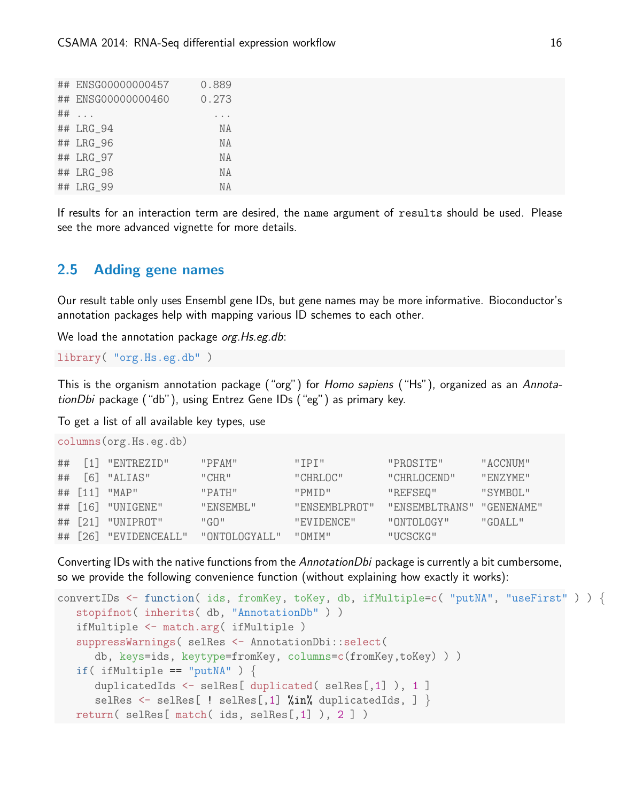| ## ENSG00000000457 | 0.889     |
|--------------------|-----------|
| ## ENSG00000000460 | 0.273     |
| $\#$ # $\ldots$    |           |
| ## LRG_94          | N A       |
| ## LRG_96          | N A       |
| ## LRG_97          | N A       |
| ## LRG_98          | <b>NA</b> |
| ## LRG 99          | ΝA        |

If results for an interaction term are desired, the name argument of results should be used. Please see the more advanced vignette for more details.

## <span id="page-15-0"></span>2.5 Adding gene names

Our result table only uses Ensembl gene IDs, but gene names may be more informative. Bioconductor's annotation packages help with mapping various ID schemes to each other.

We load the annotation package org. Hs.eg.db:

library( "org.Hs.eg.db" )

This is the organism annotation package ("org") for Homo sapiens ("Hs"), organized as an AnnotationDbi package ("db"), using Entrez Gene IDs ("eg") as primary key.

To get a list of all available key types, use

columns(org.Hs.eg.db)

|  | $\#$ # $[1]$ "ENTREZID" | "PFAM"         | $"$ TPT $"$   | "PROSTTE"      | "ACCNUM"           |
|--|-------------------------|----------------|---------------|----------------|--------------------|
|  | $\#$ # [6] "ALIAS"      | "CHR"          | "CHRI.OC"     | "CHRI.OCEND"   | "FNZYME"           |
|  | ## [11] "MAP"           | "PATH"         | "PMTD"        | "REFSEQ"       | "SYMBOL"           |
|  | ## [16] "UNIGENE"       | "ENSEMBI."     | "ENSEMBLPROT" | "ENSEMBLTRANS" | "GENENAME"         |
|  | ## [21] "UNIPROT"       | "G0"           | "EVIDENCE"    | "ONTOLOGY"     | $"G\Omega A I.I."$ |
|  | ## [26] "EVIDENCEALL"   | "ONTOLOGYALL." | " OMTM"       | "UCSCKG"       |                    |

Converting IDs with the native functions from the AnnotationDbi package is currently a bit cumbersome, so we provide the following convenience function (without explaining how exactly it works):

```
convertIDs <- function( ids, fromKey, toKey, db, ifMultiple=c( "putNA", "useFirst" ) ) {
  stopifnot( inherits( db, "AnnotationDb" ) )
  ifMultiple <- match.arg( ifMultiple )
  suppressWarnings( selRes <- AnnotationDbi::select(
     db, keys=ids, keytype=fromKey, columns=c(fromKey,toKey) ) )
  if( ifMultiple == "putNA" ) \{duplicatedIds <- selRes[ duplicated( selRes[,1] ), 1 ]
      selRes \leq selRes[ ! selRes[,1] %in% duplicatedIds, ] }
  return( selRes[ match( ids, selRes[,1] ), 2 ] )
```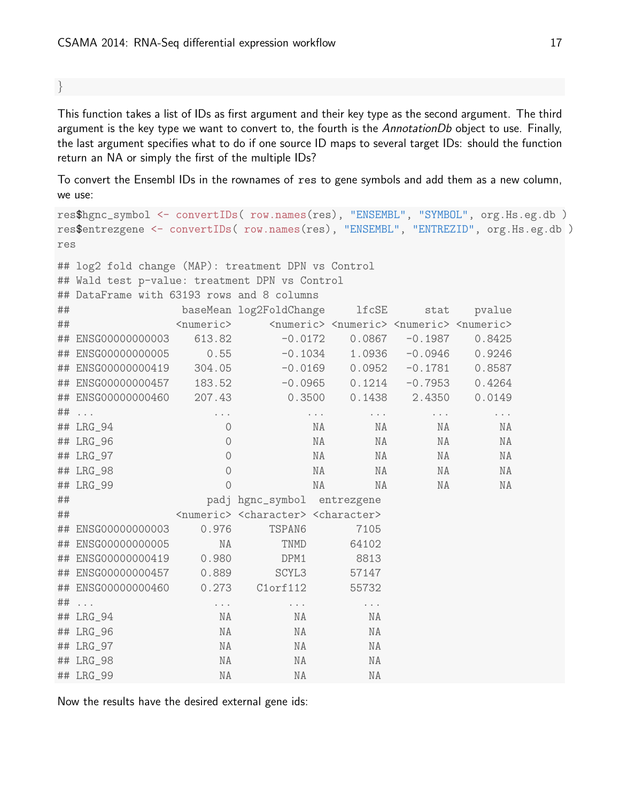}

This function takes a list of IDs as first argument and their key type as the second argument. The third argument is the key type we want to convert to, the fourth is the AnnotationDb object to use. Finally, the last argument specifies what to do if one source ID maps to several target IDs: should the function return an NA or simply the first of the multiple IDs?

To convert the Ensembl IDs in the rownames of res to gene symbols and add them as a new column, we use:

```
res$hgnc_symbol <- convertIDs( row.names(res), "ENSEMBL", "SYMBOL", org.Hs.eg.db )
res$entrezgene <- convertIDs( row.names(res), "ENSEMBL", "ENTREZID", org.Hs.eg.db )
res
## log2 fold change (MAP): treatment DPN vs Control
## Wald test p-value: treatment DPN vs Control
## DataFrame with 63193 rows and 8 columns
## baseMean log2FoldChange lfcSE stat pvalue
## <numeric> <numeric> <numeric> <numeric> <numeric>
## ENSG00000000003 613.82 -0.0172 0.0867 -0.1987 0.8425
## ENSG00000000005 0.55 -0.1034 1.0936 -0.0946 0.9246
## ENSG00000000419 304.05 -0.0169 0.0952 -0.1781 0.8587
## ENSG00000000457 183.52 -0.0965 0.1214 -0.7953 0.4264
## ENSG00000000460 207.43 0.3500 0.1438 2.4350 0.0149
## ... ... ... ... ... ...
## LRG_94 0 NA NA NA NA
## LRG_96 0 NA NA NA NA
## LRG_97 0 NA NA NA NA
## LRG_98 0 NA NA NA NA
## LRG_99 0 NA NA NA NA
## padj hgnc_symbol entrezgene
## <numeric> <character> <character>
## ENSG00000000003 0.976 TSPAN6 7105
## ENSG00000000005 NA TNMD 64102
## ENSG00000000419 0.980 DPM1 8813
## ENSG00000000457 0.889 SCYL3 57147
## ENSG00000000460 0.273 C1orf112 55732
## ... ... ... ...
## LRG_94 NA NA NA
## LRG_96 NA NA NA
## LRG_97 NA NA NA
## LRG_98 NA NA NA
## LRG_99 NA NA NA
```
Now the results have the desired external gene ids: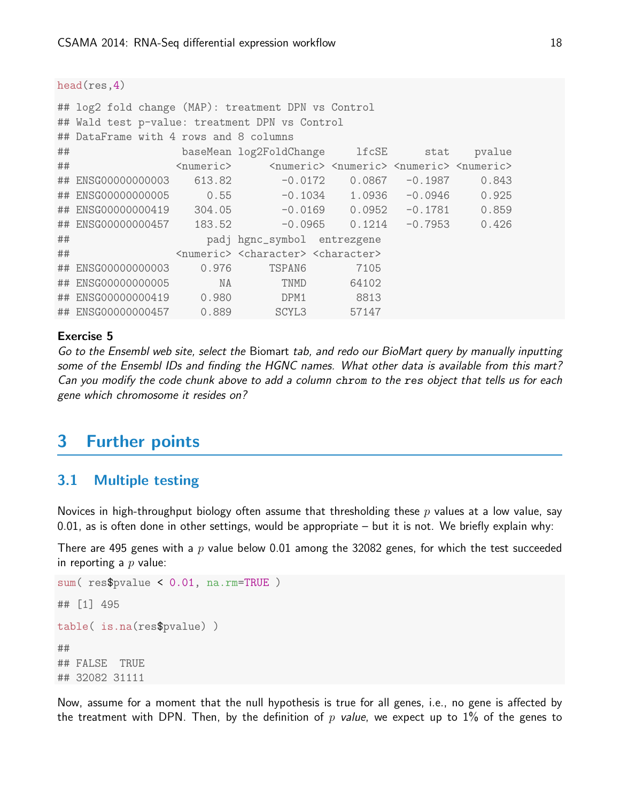#### head(res,4)

|                                                                                                               | ## log2 fold change (MAP): treatment DPN vs Control |        |                                                                     |                            |           |       |  |  |  |  |
|---------------------------------------------------------------------------------------------------------------|-----------------------------------------------------|--------|---------------------------------------------------------------------|----------------------------|-----------|-------|--|--|--|--|
|                                                                                                               | ## Wald test p-value: treatment DPN vs Control      |        |                                                                     |                            |           |       |  |  |  |  |
|                                                                                                               | ## DataFrame with 4 rows and 8 columns              |        |                                                                     |                            |           |       |  |  |  |  |
| ##                                                                                                            | baseMean log2FoldChange lfcSE stat<br>pvalue        |        |                                                                     |                            |           |       |  |  |  |  |
| ##<br><numeric> <numeric> <numeric> <numeric><br/><numeric></numeric></numeric></numeric></numeric></numeric> |                                                     |        |                                                                     |                            |           |       |  |  |  |  |
|                                                                                                               | ## ENSG00000000003                                  | 613.82 | $-0.0172$                                                           | 0.0867                     | $-0.1987$ | 0.843 |  |  |  |  |
|                                                                                                               | ## ENSG00000000005 0.55                             |        |                                                                     | $-0.1034$ 1.0936           | -0.0946   | 0.925 |  |  |  |  |
|                                                                                                               | ## ENSG00000000419 304.05 -0.0169 0.0952            |        |                                                                     |                            | $-0.1781$ | 0.859 |  |  |  |  |
|                                                                                                               | ## ENSG00000000457                                  | 183.52 |                                                                     | $-0.0965$ 0.1214 $-0.7953$ |           | 0.426 |  |  |  |  |
| ##                                                                                                            |                                                     |        | padj hgnc_symbol entrezgene                                         |                            |           |       |  |  |  |  |
| ##                                                                                                            |                                                     |        | <numeric> <character> <character></character></character></numeric> |                            |           |       |  |  |  |  |
|                                                                                                               | ## ENSG00000000003                                  | 0.976  | TSPAN6                                                              | 7105                       |           |       |  |  |  |  |
|                                                                                                               | ## ENSG00000000005                                  | NA     | TNMD                                                                | 64102                      |           |       |  |  |  |  |
|                                                                                                               | ## ENSG00000000419 0.980                            |        | DPM1                                                                | 8813                       |           |       |  |  |  |  |
|                                                                                                               | ## ENSG00000000457 0.889                            |        | SCYL <sub>3</sub>                                                   | 57147                      |           |       |  |  |  |  |

#### Exercise 5

Go to the Ensembl web site, select the Biomart tab, and redo our BioMart query by manually inputting some of the Ensembl IDs and finding the HGNC names. What other data is available from this mart? Can you modify the code chunk above to add a column chrom to the res object that tells us for each gene which chromosome it resides on?

## <span id="page-17-0"></span>3 Further points

### <span id="page-17-1"></span>3.1 Multiple testing

Novices in high-throughput biology often assume that thresholding these  $p$  values at a low value, say 0.01, as is often done in other settings, would be appropriate – but it is not. We briefly explain why:

There are 495 genes with a  $p$  value below 0.01 among the 32082 genes, for which the test succeeded in reporting a  $p$  value:

```
sum( res$pvalue < 0.01, na.rm=TRUE )
## [1] 495
table( is.na(res$pvalue) )
##
## FALSE TRUE
## 32082 31111
```
Now, assume for a moment that the null hypothesis is true for all genes, i.e., no gene is affected by the treatment with DPN. Then, by the definition of p value, we expect up to 1% of the genes to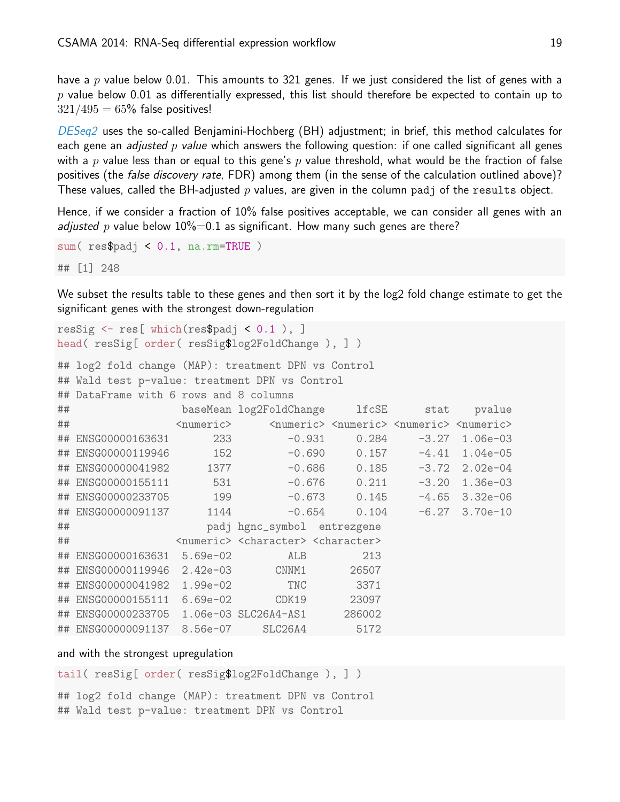have a p value below 0.01. This amounts to 321 genes. If we just considered the list of genes with a  $p$  value below 0.01 as differentially expressed, this list should therefore be expected to contain up to  $321/495 = 65\%$  false positives!

[DESeq2](http://bioconductor.org/packages/release/bioc/html/DESeq2.html) uses the so-called Benjamini-Hochberg (BH) adjustment; in brief, this method calculates for each gene an *adjusted p value* which answers the following question: if one called significant all genes with a p value less than or equal to this gene's p value threshold, what would be the fraction of false positives (the *false discovery rate*, FDR) among them (in the sense of the calculation outlined above)? These values, called the BH-adjusted  $p$  values, are given in the column padj of the results object.

Hence, if we consider a fraction of 10% false positives acceptable, we can consider all genes with an *adjusted p* value below  $10\% = 0.1$  as significant. How many such genes are there?

```
sum( res$padj < 0.1, na.rm=TRUE )
## [1] 248
```
We subset the results table to these genes and then sort it by the log2 fold change estimate to get the significant genes with the strongest down-regulation

```
resSig \le res[ which(res$padj \le 0.1 ), ]
head( resSig[ order( resSig$log2FoldChange ), ] )
```

```
## log2 fold change (MAP): treatment DPN vs Control
## Wald test p-value: treatment DPN vs Control
## DataFrame with 6 rows and 8 columns
## baseMean log2FoldChange lfcSE stat pvalue
## <numeric> <numeric> <numeric> <numeric> <numeric>
## ENSG00000163631 233 -0.931 0.284 -3.27 1.06e-03
## ENSG00000119946 152 -0.690 0.157 -4.41 1.04e-05
## ENSG00000041982 1377 -0.686 0.185 -3.72 2.02e-04
## ENSG00000155111 531 -0.676 0.211 -3.20 1.36e-03
## ENSG00000233705 199 -0.673 0.145 -4.65 3.32e-06
## ENSG00000091137 1144 -0.654 0.104 -6.27 3.70e-10
## padj hgnc_symbol entrezgene
## <numeric> <character> <character>
## ENSG00000163631 5.69e-02 ALB 213
## ENSG00000119946 2.42e-03 CNNM1 26507
## ENSG00000041982 1.99e-02 TNC 3371
## ENSG00000155111 6.69e-02 CDK19 23097
## ENSG00000233705 1.06e-03 SLC26A4-AS1 286002
## ENSG00000091137 8.56e-07 SLC26A4 5172
```
#### and with the strongest upregulation

```
tail( resSig[ order( resSig$log2FoldChange ), ] )
## log2 fold change (MAP): treatment DPN vs Control
## Wald test p-value: treatment DPN vs Control
```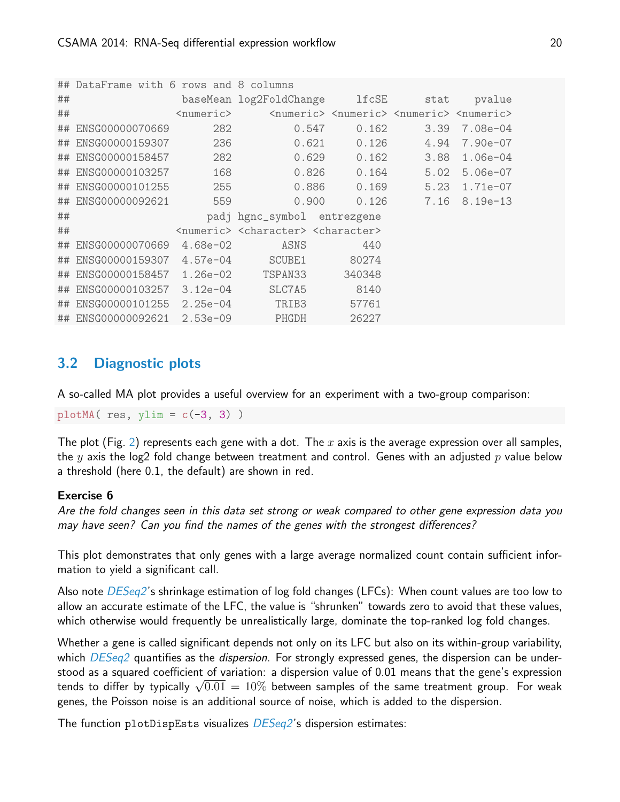```
## DataFrame with 6 rows and 8 columns
## baseMean log2FoldChange lfcSE stat pvalue
## <numeric> <numeric> <numeric> <numeric> <numeric>
## ENSG00000070669 282 0.547 0.162 3.39 7.08e-04
## ENSG00000159307 236 0.621 0.126 4.94 7.90e-07
## ENSG00000158457 282 0.629 0.162 3.88 1.06e-04
## ENSG00000103257 168 0.826 0.164 5.02 5.06e-07
## ENSG00000101255 255 0.886 0.169 5.23 1.71e-07
## ENSG00000092621 559 0.900 0.126 7.16 8.19e-13
## padj hgnc_symbol entrezgene
## <numeric> <character> <character>
## ENSG00000070669 4.68e-02 ASNS 440
## ENSG00000159307 4.57e-04 SCUBE1 80274
## ENSG00000158457 1.26e-02 TSPAN33 340348
## ENSG00000103257 3.12e-04 SLC7A5 8140
## ENSG00000101255 2.25e-04 TRIB3 57761
## ENSG00000092621 2.53e-09 PHGDH 26227
```
## <span id="page-19-0"></span>3.2 Diagnostic plots

A so-called MA plot provides a useful overview for an experiment with a two-group comparison:

plotMA( res, ylim =  $c(-3, 3)$ )

The plot (Fig. [2\)](#page-20-1) represents each gene with a dot. The x axis is the average expression over all samples, the y axis the log2 fold change between treatment and control. Genes with an adjusted p value below a threshold (here 0.1, the default) are shown in red.

### Exercise 6

Are the fold changes seen in this data set strong or weak compared to other gene expression data you may have seen? Can you find the names of the genes with the strongest differences?

This plot demonstrates that only genes with a large average normalized count contain sufficient information to yield a significant call.

Also note *[DESeq2](http://bioconductor.org/packages/release/bioc/html/DESeq2.html)*'s shrinkage estimation of log fold changes (LFCs): When count values are too low to allow an accurate estimate of the LFC, the value is "shrunken" towards zero to avoid that these values, which otherwise would frequently be unrealistically large, dominate the top-ranked log fold changes.

Whether a gene is called significant depends not only on its LFC but also on its within-group variability, which  $DESeq2$  quantifies as the *dispersion*. For strongly expressed genes, the dispersion can be understood as a squared coefficient of variation: a dispersion value of 0.01 means that the gene's expression stood as a squared coemcient or variation: a dispersion value or 0.01 means that the gene's expression<br>tends to differ by typically  $\sqrt{0.01}\,=\,10\%$  between samples of the same treatment group. For weak genes, the Poisson noise is an additional source of noise, which is added to the dispersion.

The function plotDispEsts visualizes *[DESeq2](http://bioconductor.org/packages/release/bioc/html/DESeq2.html)*'s dispersion estimates: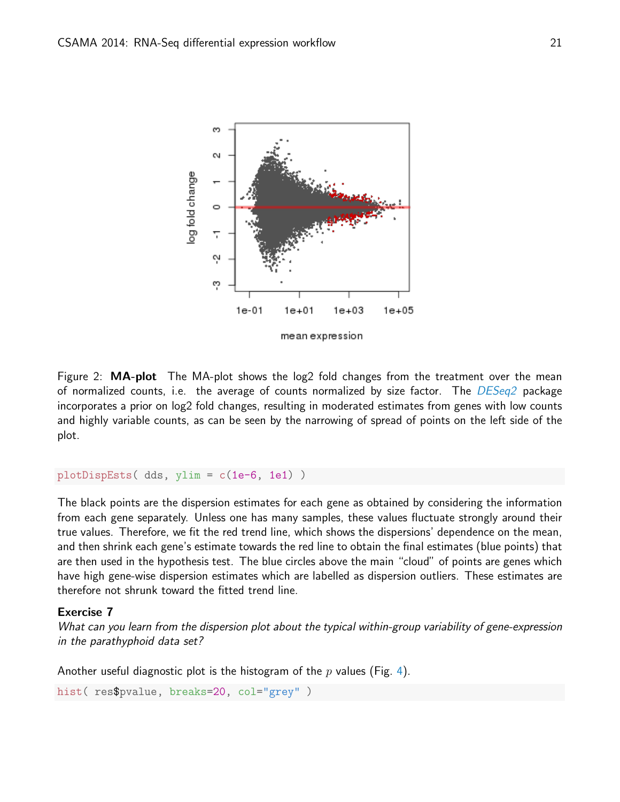

<span id="page-20-1"></span>Figure 2:  $MA-plot$  The MA-plot shows the log2 fold changes from the treatment over the mean of normalized counts, i.e. the average of counts normalized by size factor. The [DESeq2](http://bioconductor.org/packages/release/bioc/html/DESeq2.html) package incorporates a prior on log2 fold changes, resulting in moderated estimates from genes with low counts and highly variable counts, as can be seen by the narrowing of spread of points on the left side of the plot.

```
plotDispEsts( dds, ylim = c(1e-6, 1e1) )
```
The black points are the dispersion estimates for each gene as obtained by considering the information from each gene separately. Unless one has many samples, these values fluctuate strongly around their true values. Therefore, we fit the red trend line, which shows the dispersions' dependence on the mean, and then shrink each gene's estimate towards the red line to obtain the final estimates (blue points) that are then used in the hypothesis test. The blue circles above the main "cloud" of points are genes which have high gene-wise dispersion estimates which are labelled as dispersion outliers. These estimates are therefore not shrunk toward the fitted trend line.

#### Exercise 7

What can you learn from the dispersion plot about the typical within-group variability of gene-expression in the parathyphoid data set?

Another useful diagnostic plot is the histogram of the p values (Fig. [4\)](#page-21-0).

```
hist( res$pvalue, breaks=20, col="grey")
```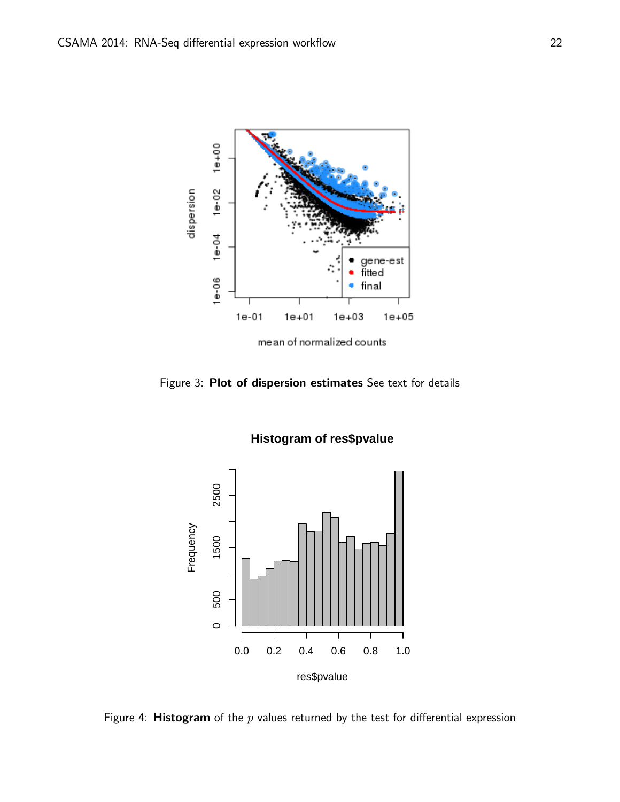

Figure 3: Plot of dispersion estimates See text for details



<span id="page-21-0"></span>Figure 4: **Histogram** of the  $p$  values returned by the test for differential expression

## **Histogram of res\$pvalue**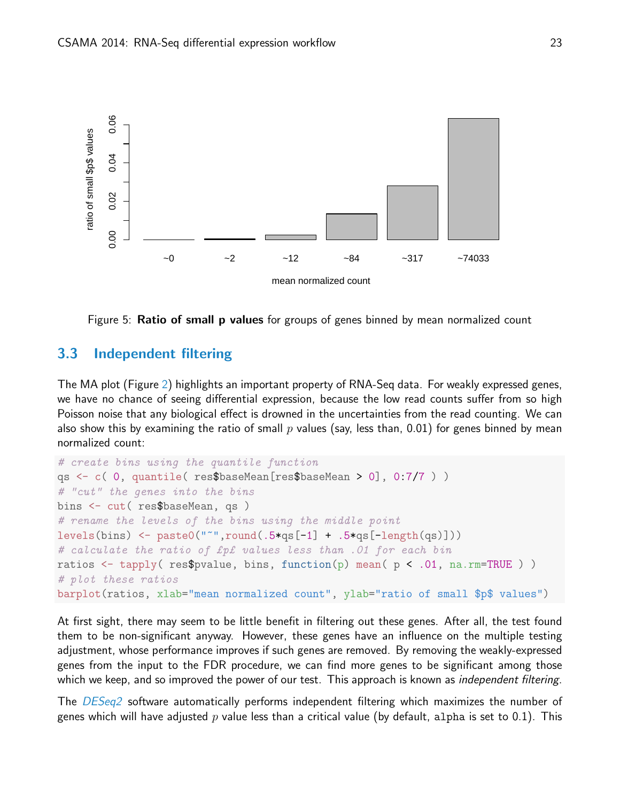

Figure 5: Ratio of small p values for groups of genes binned by mean normalized count

## 3.3 Independent filtering

The MA plot (Figure [2\)](#page-20-1) highlights an important property of RNA-Seq data. For weakly expressed genes, we have no chance of seeing differential expression, because the low read counts suffer from so high Poisson noise that any biological effect is drowned in the uncertainties from the read counting. We can also show this by examining the ratio of small  $p$  values (say, less than, 0.01) for genes binned by mean normalized count:

```
# create bins using the quantile function
qs <- c( 0, quantile( res$baseMean[res$baseMean > 0], 0:7/7 ) )
# "cut" the genes into the bins
bins <- cut( res$baseMean, qs )
# rename the levels of the bins using the middle point
levels(bins) \leq paste0("<sup>-</sup>",round(.5*qs[-1] + .5*qs[-length(qs)]))
# calculate the ratio of £p£ values less than .01 for each bin
ratios \leq tapply( res$pvalue, bins, function(p) mean( p \leq .01, na.rm=TRUE ))
# plot these ratios
barplot(ratios, xlab="mean normalized count", ylab="ratio of small $p$ values")
```
At first sight, there may seem to be little benefit in filtering out these genes. After all, the test found them to be non-significant anyway. However, these genes have an influence on the multiple testing adjustment, whose performance improves if such genes are removed. By removing the weakly-expressed genes from the input to the FDR procedure, we can find more genes to be significant among those which we keep, and so improved the power of our test. This approach is known as *independent filtering*.

The [DESeq2](http://bioconductor.org/packages/release/bioc/html/DESeq2.html) software automatically performs independent filtering which maximizes the number of genes which will have adjusted p value less than a critical value (by default, alpha is set to 0.1). This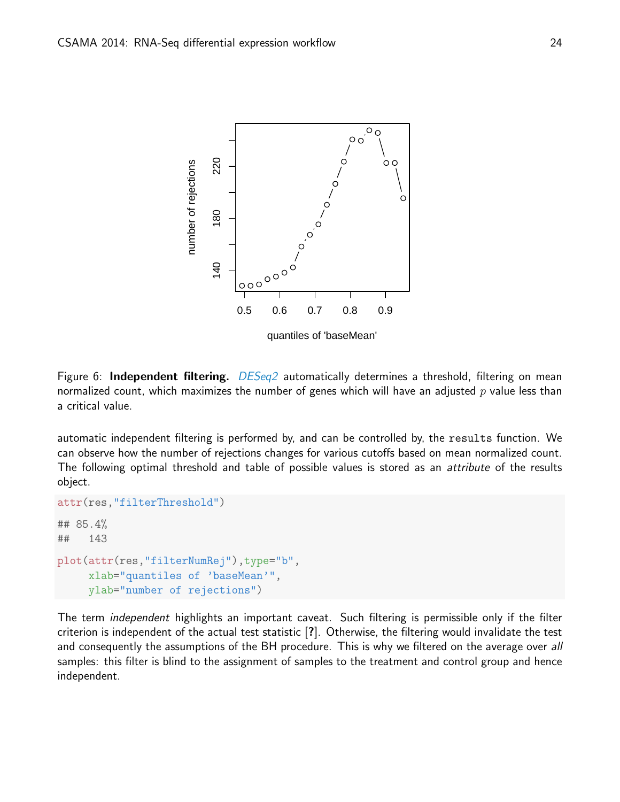

Figure 6: Independent filtering. [DESeq2](http://bioconductor.org/packages/release/bioc/html/DESeq2.html) automatically determines a threshold, filtering on mean normalized count, which maximizes the number of genes which will have an adjusted  $p$  value less than a critical value.

automatic independent filtering is performed by, and can be controlled by, the results function. We can observe how the number of rejections changes for various cutoffs based on mean normalized count. The following optimal threshold and table of possible values is stored as an attribute of the results object.

```
attr(res,"filterThreshold")
## 85.4%
## 143
plot(attr(res,"filterNumRej"),type="b",
    xlab="quantiles of 'baseMean'",
    ylab="number of rejections")
```
<span id="page-23-0"></span>The term independent highlights an important caveat. Such filtering is permissible only if the filter criterion is independent of the actual test statistic [?]. Otherwise, the filtering would invalidate the test and consequently the assumptions of the BH procedure. This is why we filtered on the average over all samples: this filter is blind to the assignment of samples to the treatment and control group and hence independent.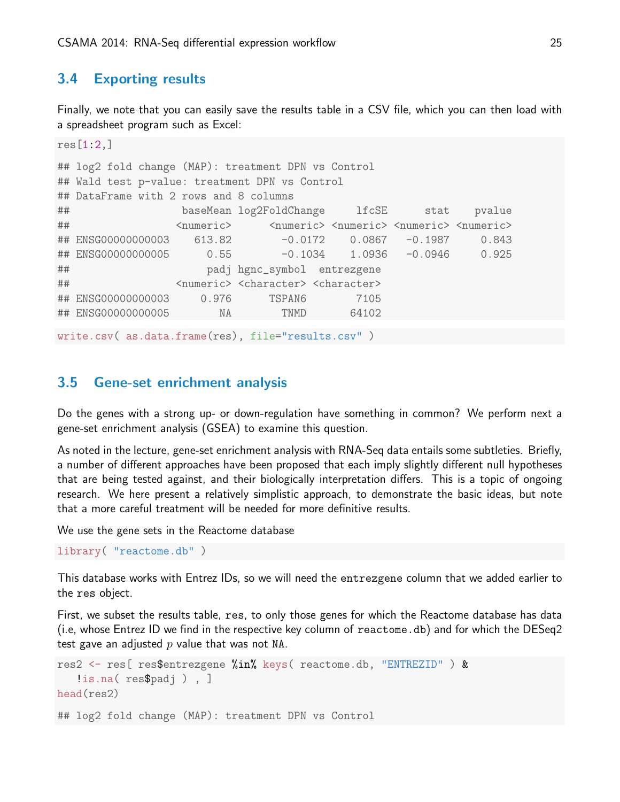## 3.4 Exporting results

Finally, we note that you can easily save the results table in a CSV file, which you can then load with a spreadsheet program such as Excel:

```
res[1:2,]
## log2 fold change (MAP): treatment DPN vs Control
## Wald test p-value: treatment DPN vs Control
## DataFrame with 2 rows and 8 columns
## baseMean log2FoldChange lfcSE stat pvalue
## <numeric> <numeric> <numeric> <numeric> <numeric>
## ENSG00000000003 613.82 -0.0172 0.0867 -0.1987 0.843
## ENSG00000000005 0.55 -0.1034 1.0936 -0.0946 0.925
## padj hgnc_symbol entrezgene
## <numeric> <character> <character>
## ENSG00000000003 0.976 TSPAN6 7105
## ENSG00000000005 NA TNMD 64102
write.csv( as.data.frame(res), file="results.csv" )
```
## <span id="page-24-0"></span>3.5 Gene-set enrichment analysis

Do the genes with a strong up- or down-regulation have something in common? We perform next a gene-set enrichment analysis (GSEA) to examine this question.

As noted in the lecture, gene-set enrichment analysis with RNA-Seq data entails some subtleties. Briefly, a number of different approaches have been proposed that each imply slightly different null hypotheses that are being tested against, and their biologically interpretation differs. This is a topic of ongoing research. We here present a relatively simplistic approach, to demonstrate the basic ideas, but note that a more careful treatment will be needed for more definitive results.

We use the gene sets in the Reactome database

```
library( "reactome.db" )
```
This database works with Entrez IDs, so we will need the entrezgene column that we added earlier to the res object.

First, we subset the results table, res, to only those genes for which the Reactome database has data (i.e, whose Entrez ID we find in the respective key column of reactome.db) and for which the DESeq2 test gave an adjusted  $p$  value that was not NA.

```
res2 <- res[ res$entrezgene %in% keys( reactome.db, "ENTREZID" ) &
   !is.na( res$padj ) , ]
head(res2)
## log2 fold change (MAP): treatment DPN vs Control
```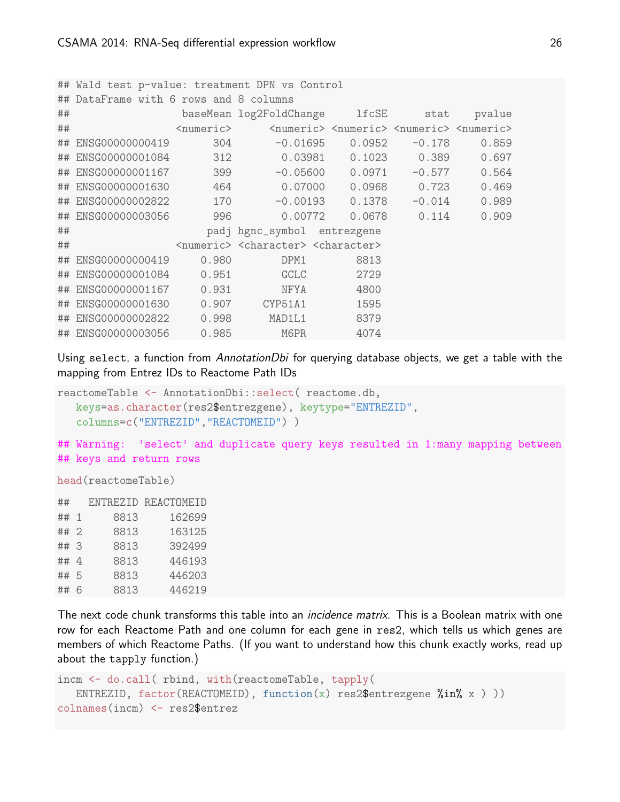|    | ## Wald test p-value: treatment DPN vs Control |                     |                                                                     |                                                                                 |          |        |  |  |  |
|----|------------------------------------------------|---------------------|---------------------------------------------------------------------|---------------------------------------------------------------------------------|----------|--------|--|--|--|
|    | ## DataFrame with 6 rows and 8 columns         |                     |                                                                     |                                                                                 |          |        |  |  |  |
| ## |                                                |                     | baseMean log2FoldChange lfcSE                                       |                                                                                 | stat     | pvalue |  |  |  |
| ## |                                                | <numeric></numeric> |                                                                     | <numeric> <numeric> <numeric> <numeric></numeric></numeric></numeric></numeric> |          |        |  |  |  |
|    | ## ENSG00000000419                             | 304                 | $-0.01695$                                                          | 0.0952                                                                          | $-0.178$ | 0.859  |  |  |  |
|    | ## ENSG00000001084                             | 312                 |                                                                     | 0.03981   0.1023   0.389                                                        |          | 0.697  |  |  |  |
|    |                                                |                     |                                                                     |                                                                                 | $-0.577$ | 0.564  |  |  |  |
|    | ## ENSG00000001630                             | 464                 |                                                                     |                                                                                 |          | 0.469  |  |  |  |
|    | ## ENSG00000002822                             | 170                 |                                                                     | $-0.00193$ 0.1378                                                               | $-0.014$ | 0.989  |  |  |  |
|    | ## ENSG00000003056                             | 996                 | 0.00772                                                             | 0.0678                                                                          | 0.114    | 0.909  |  |  |  |
| ## |                                                |                     | padj hgnc_symbol entrezgene                                         |                                                                                 |          |        |  |  |  |
| ## |                                                |                     | <numeric> <character> <character></character></character></numeric> |                                                                                 |          |        |  |  |  |
|    | ## ENSG00000000419                             | 0.980               | DPM1                                                                | 8813                                                                            |          |        |  |  |  |
|    | ## ENSG00000001084                             | 0.951               | GCLC                                                                | 2729                                                                            |          |        |  |  |  |
|    | ## ENSG00000001167 0.931                       |                     | <b>NFYA</b>                                                         | 4800                                                                            |          |        |  |  |  |
|    | ## ENSG00000001630                             | 0.907               | CYP51A1                                                             | 1595                                                                            |          |        |  |  |  |
|    | ## ENSG00000002822 0.998                       |                     | MAD1L1                                                              | 8379                                                                            |          |        |  |  |  |
|    | ## ENSG00000003056                             | 0.985               | M6PR                                                                | 4074                                                                            |          |        |  |  |  |

Using select, a function from AnnotationDbi for querying database objects, we get a table with the mapping from Entrez IDs to Reactome Path IDs

```
reactomeTable <- AnnotationDbi::select( reactome.db,
  keys=as.character(res2$entrezgene), keytype="ENTREZID",
   columns=c("ENTREZID","REACTOMEID") )
```
## Warning: 'select' and duplicate query keys resulted in 1:many mapping between ## keys and return rows

head(reactomeTable)

| ##   |      | ENTREZID REACTOMEID |
|------|------|---------------------|
| ## 1 | 8813 | 162699              |
| ## 2 | 8813 | 163125              |
| ##3  | 8813 | 392499              |
| ## 4 | 8813 | 446193              |
| ## 5 | 8813 | 446203              |
| ## 6 | 8813 | 446219              |
|      |      |                     |

The next code chunk transforms this table into an *incidence matrix*. This is a Boolean matrix with one row for each Reactome Path and one column for each gene in res2, which tells us which genes are members of which Reactome Paths. (If you want to understand how this chunk exactly works, read up about the tapply function.)

```
incm <- do.call( rbind, with(reactomeTable, tapply(
   ENTREZID, factor(REACTOMEID), function(x) res2$entrezgene \frac{\pi}{6}in\frac{\pi}{6} x ) ))
colnames(incm) <- res2$entrez
```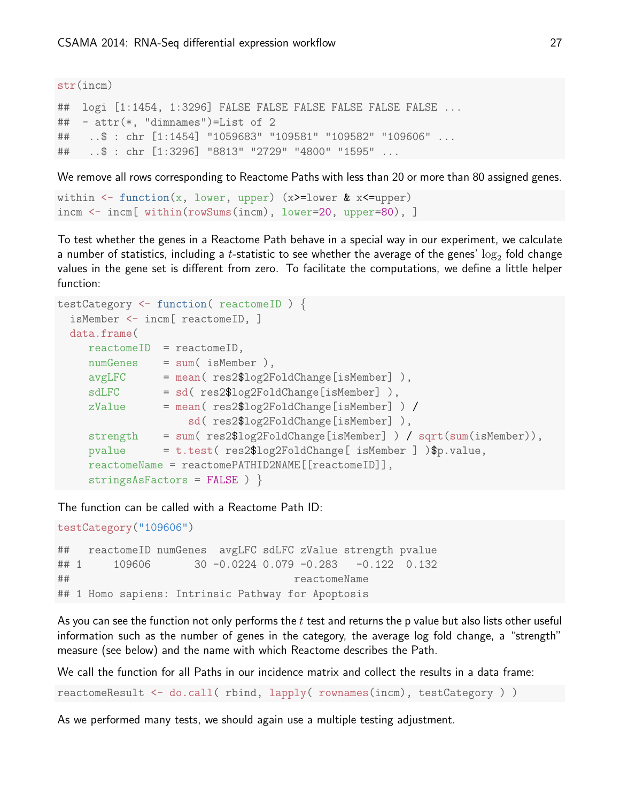#### str(incm)

## logi [1:1454, 1:3296] FALSE FALSE FALSE FALSE FALSE FALSE ... ## - attr(\*, "dimnames")=List of 2 ## ..\$ : chr [1:1454] "1059683" "109581" "109582" "109606" ... ## ..\$ : chr [1:3296] "8813" "2729" "4800" "1595" ...

We remove all rows corresponding to Reactome Paths with less than 20 or more than 80 assigned genes.

```
within \leq function(x, lower, upper) (x>=lower & x\leq-upper)
incm <- incm[ within(rowSums(incm), lower=20, upper=80), ]
```
To test whether the genes in a Reactome Path behave in a special way in our experiment, we calculate a number of statistics, including a  $t$ -statistic to see whether the average of the genes'  $\log_2$  fold change values in the gene set is different from zero. To facilitate the computations, we define a little helper function:

```
testCategory <- function( reactomeID ) {
 isMember <- incm[ reactomeID, ]
 data.frame(
    reactomeID = reactomeID,
    numGenes = sum( isMember ),
    avgLFC = mean( res2$log2FoldChange[isMember] ),
    sdLFC = sd( res2$log2FoldChange[isMember] ),
    zValue = mean( res2$log2FoldChange[isMember] ) /
                    sd( res2$log2FoldChange[isMember] ),
    strength = sum( res2$log2FoldChange[isMember] ) / sqrt(sum(isMember)),
    pvalue = t.test( res2$log2FoldChange[ isMember ] )$p.value,
    reactomeName = reactomePATHID2NAME[[reactomeID]],
    stringsAsFactors = FALSE ) }
```
The function can be called with a Reactome Path ID:

```
testCategory("109606")
```
## reactomeID numGenes avgLFC sdLFC zValue strength pvalue ## 1 109606 30 -0.0224 0.079 -0.283 -0.122 0.132 ## reactomeName ## 1 Homo sapiens: Intrinsic Pathway for Apoptosis

As you can see the function not only performs the  $t$  test and returns the p value but also lists other useful information such as the number of genes in the category, the average log fold change, a "strength" measure (see below) and the name with which Reactome describes the Path.

We call the function for all Paths in our incidence matrix and collect the results in a data frame:

reactomeResult <- do.call( rbind, lapply( rownames(incm), testCategory ) )

As we performed many tests, we should again use a multiple testing adjustment.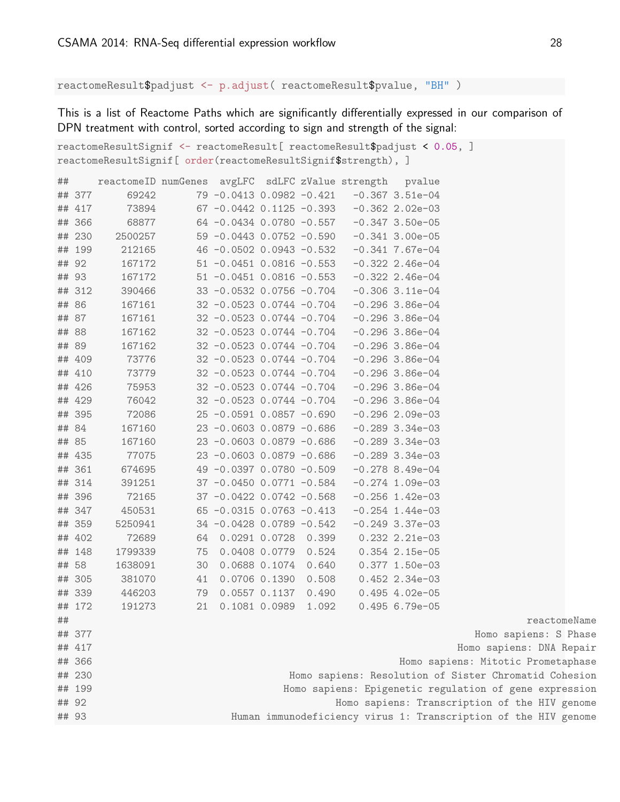reactomeResult\$padjust <- p.adjust( reactomeResult\$pvalue, "BH" )

This is a list of Reactome Paths which are significantly differentially expressed in our comparison of DPN treatment with control, sorted according to sign and strength of the signal:

|    | reactomeResultSignif <- reactomeResult[ reactomeResult\$padjust < 0.05, ] |                                                                 |                                                |                              |  |  |                                            |                                               |                                                        |              |
|----|---------------------------------------------------------------------------|-----------------------------------------------------------------|------------------------------------------------|------------------------------|--|--|--------------------------------------------|-----------------------------------------------|--------------------------------------------------------|--------------|
|    | reactomeResultSignif[ order(reactomeResultSignif\$strength), ]            |                                                                 |                                                |                              |  |  |                                            |                                               |                                                        |              |
| ## |                                                                           | reactomeID numGenes avgLFC sdLFC zValue strength pvalue         |                                                |                              |  |  |                                            |                                               |                                                        |              |
|    | ## 377                                                                    | 69242                                                           |                                                |                              |  |  |                                            | 79 -0.0413  0.0982 -0.421  -0.367  3.51e-04   |                                                        |              |
|    | ## 417                                                                    | 73894                                                           |                                                |                              |  |  |                                            | 67 -0.0442 0.1125 -0.393 -0.362 2.02e-03      |                                                        |              |
|    | ## 366                                                                    |                                                                 | 68877 64 -0.0434 0.0780 -0.557 -0.347 3.50e-05 |                              |  |  |                                            |                                               |                                                        |              |
|    | ## 230                                                                    | 2500257                                                         |                                                |                              |  |  |                                            | 59 -0.0443 0.0752 -0.590 -0.341 3.00e-05      |                                                        |              |
|    | ## 199                                                                    | 212165                                                          |                                                |                              |  |  |                                            | 46 -0.0502 0.0943 -0.532 -0.341 7.67e-04      |                                                        |              |
|    | ## 92                                                                     | 167172                                                          |                                                |                              |  |  |                                            | 51 -0.0451 0.0816 -0.553 -0.322 2.46e-04      |                                                        |              |
|    | ## 93                                                                     | 167172                                                          |                                                |                              |  |  |                                            | $51 - 0.0451 0.0816 - 0.553 - 0.322 2.46e-04$ |                                                        |              |
|    | ## 312                                                                    | 390466                                                          |                                                |                              |  |  |                                            | 33 -0.0532 0.0756 -0.704 -0.306 3.11e-04      |                                                        |              |
|    | ## 86                                                                     | 167161                                                          |                                                |                              |  |  |                                            | 32 -0.0523 0.0744 -0.704 -0.296 3.86e-04      |                                                        |              |
|    | ## 87                                                                     | 167161                                                          |                                                | $32 -0.0523$ 0.0744 $-0.704$ |  |  |                                            | $-0.296$ 3.86e $-04$                          |                                                        |              |
|    | ## 88                                                                     | 167162                                                          |                                                |                              |  |  |                                            | 32 -0.0523 0.0744 -0.704 -0.296 3.86e-04      |                                                        |              |
|    | ## 89                                                                     | 167162                                                          |                                                |                              |  |  |                                            | 32 -0.0523 0.0744 -0.704 -0.296 3.86e-04      |                                                        |              |
|    | ## 409                                                                    | 73776                                                           |                                                |                              |  |  |                                            | 32 -0.0523 0.0744 -0.704 -0.296 3.86e-04      |                                                        |              |
|    | ## 410                                                                    | 73779                                                           |                                                |                              |  |  |                                            | 32 -0.0523 0.0744 -0.704 -0.296 3.86e-04      |                                                        |              |
|    | ## 426                                                                    | 75953                                                           |                                                | $32 -0.0523$ 0.0744 $-0.704$ |  |  |                                            | $-0.296$ 3.86e $-04$                          |                                                        |              |
|    | ## 429                                                                    | 76042                                                           |                                                | 32 -0.0523 0.0744 -0.704     |  |  |                                            | $-0.296$ 3.86e-04                             |                                                        |              |
|    | ## 395                                                                    | 72086                                                           |                                                | $25 -0.0591$ 0.0857 $-0.690$ |  |  |                                            | $-0.296$ 2.09e-03                             |                                                        |              |
|    | ## 84                                                                     | 167160                                                          |                                                | $23 -0.0603$ 0.0879 $-0.686$ |  |  |                                            | $-0.289$ 3.34e-03                             |                                                        |              |
|    | ## 85                                                                     | 167160                                                          |                                                |                              |  |  |                                            | 23 -0.0603 0.0879 -0.686 -0.289 3.34e-03      |                                                        |              |
|    | ## 435                                                                    | 77075                                                           |                                                |                              |  |  |                                            | 23 -0.0603 0.0879 -0.686 -0.289 3.34e-03      |                                                        |              |
|    | ## 361                                                                    | 674695                                                          |                                                |                              |  |  |                                            | 49 -0.0397 0.0780 -0.509 -0.278 8.49e-04      |                                                        |              |
|    | ## 314                                                                    | 391251                                                          |                                                |                              |  |  |                                            | 37 -0.0450 0.0771 -0.584 -0.274 1.09e-03      |                                                        |              |
|    | ## 396                                                                    | 72165                                                           |                                                | $37 -0.0422 0.0742 -0.568$   |  |  |                                            | $-0.256$ 1.42e-03                             |                                                        |              |
|    | ## 347                                                                    | 450531                                                          |                                                | $65 -0.0315$ 0.0763 $-0.413$ |  |  |                                            | $-0.254$ 1.44e-03                             |                                                        |              |
|    | ## 359                                                                    | 5250941                                                         |                                                | 34 -0.0428 0.0789 -0.542     |  |  |                                            | $-0.249$ 3.37e-03                             |                                                        |              |
|    | ## 402                                                                    | 72689                                                           |                                                |                              |  |  |                                            | 64 0.0291 0.0728 0.399 0.232 2.21e-03         |                                                        |              |
|    | ## 148                                                                    | 1799339                                                         |                                                | 75  0.0408  0.0779  0.524    |  |  |                                            | $0.354$ 2.15e-05                              |                                                        |              |
|    | ## 58                                                                     | 1638091                                                         |                                                | 30  0.0688  0.1074  0.640    |  |  |                                            | $0.377$ 1.50e-03                              |                                                        |              |
|    | ## 305                                                                    | 381070                                                          |                                                | 41 0.0706 0.1390 0.508       |  |  |                                            | $0.452$ 2.34e-03                              |                                                        |              |
|    | ## 339                                                                    | 446203                                                          |                                                | 79 0.0557 0.1137 0.490       |  |  |                                            | $0.495$ 4.02e-05                              |                                                        |              |
|    | ## 172                                                                    | 191273                                                          |                                                |                              |  |  | 21  0.1081  0.0989  1.092  0.495  6.79e-05 |                                               |                                                        |              |
| ## |                                                                           |                                                                 |                                                |                              |  |  |                                            |                                               |                                                        | reactomeName |
|    | ## 377                                                                    |                                                                 |                                                |                              |  |  |                                            |                                               | Homo sapiens: S Phase                                  |              |
|    | ## 417                                                                    |                                                                 |                                                |                              |  |  |                                            |                                               | Homo sapiens: DNA Repair                               |              |
|    | ## 366                                                                    |                                                                 |                                                |                              |  |  |                                            |                                               | Homo sapiens: Mitotic Prometaphase                     |              |
|    | ## 230                                                                    |                                                                 |                                                |                              |  |  |                                            |                                               | Homo sapiens: Resolution of Sister Chromatid Cohesion  |              |
|    | ## 199                                                                    |                                                                 |                                                |                              |  |  |                                            |                                               | Homo sapiens: Epigenetic regulation of gene expression |              |
|    | ## 92                                                                     |                                                                 |                                                |                              |  |  |                                            |                                               | Homo sapiens: Transcription of the HIV genome          |              |
|    | ## 93                                                                     | Human immunodeficiency virus 1: Transcription of the HIV genome |                                                |                              |  |  |                                            |                                               |                                                        |              |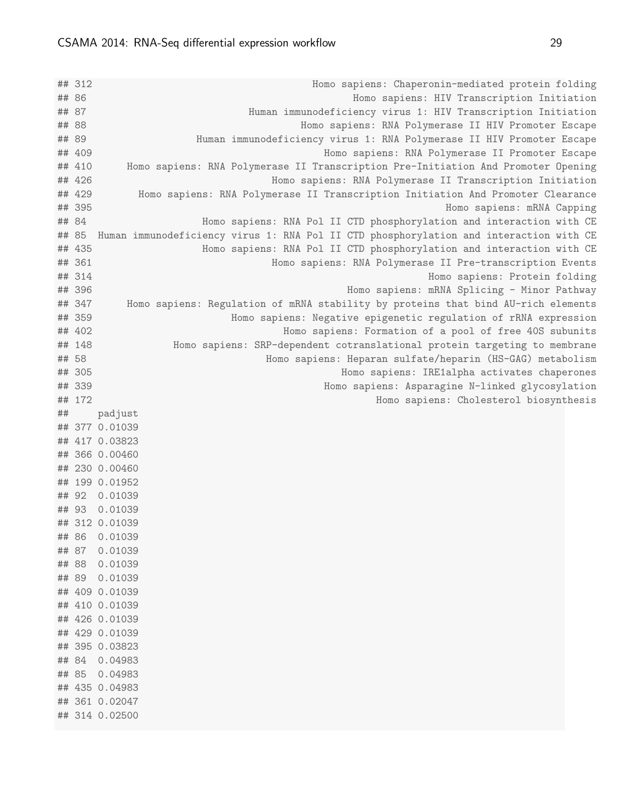## 85 0.04983 ## 435 0.04983 ## 361 0.02047 ## 314 0.02500

## 312 Homo sapiens: Chaperonin-mediated protein folding ## 86 Homo sapiens: HIV Transcription Initiation ## 87 Human immunodeficiency virus 1: HIV Transcription Initiation ## 88 Homo sapiens: RNA Polymerase II HIV Promoter Escape ## 89 Human immunodeficiency virus 1: RNA Polymerase II HIV Promoter Escape ## 409 Homo sapiens: RNA Polymerase II Promoter Escape ## 410 Homo sapiens: RNA Polymerase II Transcription Pre-Initiation And Promoter Opening ## 426 Homo sapiens: RNA Polymerase II Transcription Initiation ## 429 Homo sapiens: RNA Polymerase II Transcription Initiation And Promoter Clearance ## 395 Homo sapiens: mRNA Capping ## 84 Homo sapiens: RNA Pol II CTD phosphorylation and interaction with CE ## 85 Human immunodeficiency virus 1: RNA Pol II CTD phosphorylation and interaction with CE ## 435 Homo sapiens: RNA Pol II CTD phosphorylation and interaction with CE ## 361 Homo sapiens: RNA Polymerase II Pre-transcription Events ## 314 Homo sapiens: Protein folding ## 396 Homo sapiens: mRNA Splicing - Minor Pathway ## 347 Homo sapiens: Regulation of mRNA stability by proteins that bind AU-rich elements ## 359 Homo sapiens: Negative epigenetic regulation of rRNA expression ## 402 Homo sapiens: Formation of a pool of free 40S subunits ## 148 Homo sapiens: SRP-dependent cotranslational protein targeting to membrane ## 58 Homo sapiens: Heparan sulfate/heparin (HS-GAG) metabolism ## 305 Homo sapiens: IRE1alpha activates chaperones ## 339 Homo sapiens: Asparagine N-linked glycosylation ## 172 Homo sapiens: Cholesterol biosynthesis ## padjust ## 377 0.01039 ## 417 0.03823 ## 366 0.00460 ## 230 0.00460 ## 199 0.01952 ## 92 0.01039 ## 93 0.01039 ## 312 0.01039 ## 86 0.01039 ## 87 0.01039 ## 88 0.01039 ## 89 0.01039 ## 409 0.01039 ## 410 0.01039 ## 426 0.01039 ## 429 0.01039 ## 395 0.03823 ## 84 0.04983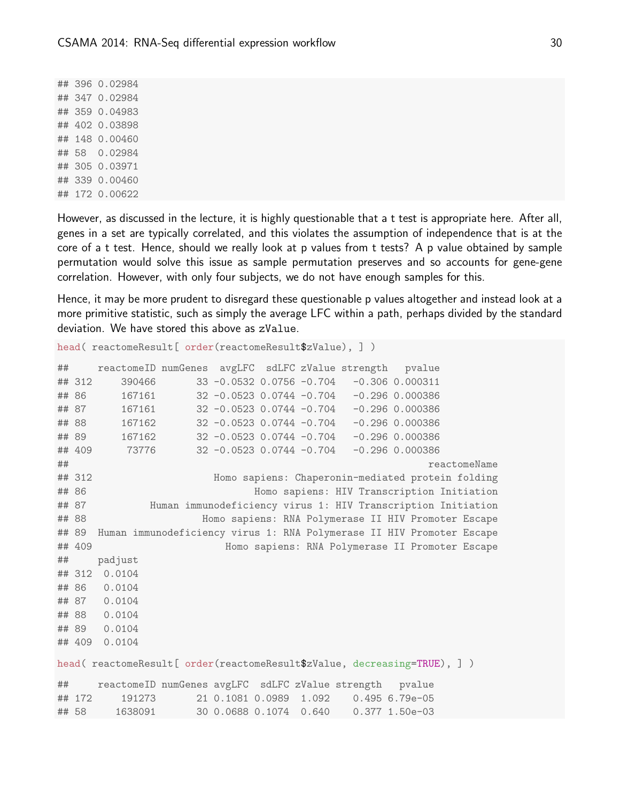## 396 0.02984 ## 347 0.02984 ## 359 0.04983 ## 402 0.03898 ## 148 0.00460 ## 58 0.02984 ## 305 0.03971 ## 339 0.00460 ## 172 0.00622

However, as discussed in the lecture, it is highly questionable that a t test is appropriate here. After all, genes in a set are typically correlated, and this violates the assumption of independence that is at the core of a t test. Hence, should we really look at p values from t tests? A p value obtained by sample permutation would solve this issue as sample permutation preserves and so accounts for gene-gene correlation. However, with only four subjects, we do not have enough samples for this.

Hence, it may be more prudent to disregard these questionable p values altogether and instead look at a more primitive statistic, such as simply the average LFC within a path, perhaps divided by the standard deviation. We have stored this above as zValue.

```
head( reactomeResult[ order(reactomeResult$zValue), ] )
## reactomeID numGenes avgLFC sdLFC zValue strength pvalue
## 312 390466 33 -0.0532 0.0756 -0.704 -0.306 0.000311
## 86 167161 32 -0.0523 0.0744 -0.704 -0.296 0.000386
## 87 167161 32 -0.0523 0.0744 -0.704 -0.296 0.000386
## 88 167162 32 -0.0523 0.0744 -0.704 -0.296 0.000386
## 89 167162 32 -0.0523 0.0744 -0.704 -0.296 0.000386
## 409 73776 32 -0.0523 0.0744 -0.704 -0.296 0.000386
## reactomeName
## 312 Homo sapiens: Chaperonin-mediated protein folding
## 86 Homo sapiens: HIV Transcription Initiation
## 87 Human immunodeficiency virus 1: HIV Transcription Initiation
## 88 Homo sapiens: RNA Polymerase II HIV Promoter Escape
## 89 Human immunodeficiency virus 1: RNA Polymerase II HIV Promoter Escape
## 409 Homo sapiens: RNA Polymerase II Promoter Escape
## padjust
## 312 0.0104
## 86 0.0104
## 87 0.0104
## 88 0.0104
## 89 0.0104
## 409 0.0104
head( reactomeResult[ order(reactomeResult$zValue, decreasing=TRUE), ] )
## reactomeID numGenes avgLFC sdLFC zValue strength pvalue
## 172 191273 21 0.1081 0.0989 1.092 0.495 6.79e-05
## 58 1638091 30 0.0688 0.1074 0.640 0.377 1.50e-03
```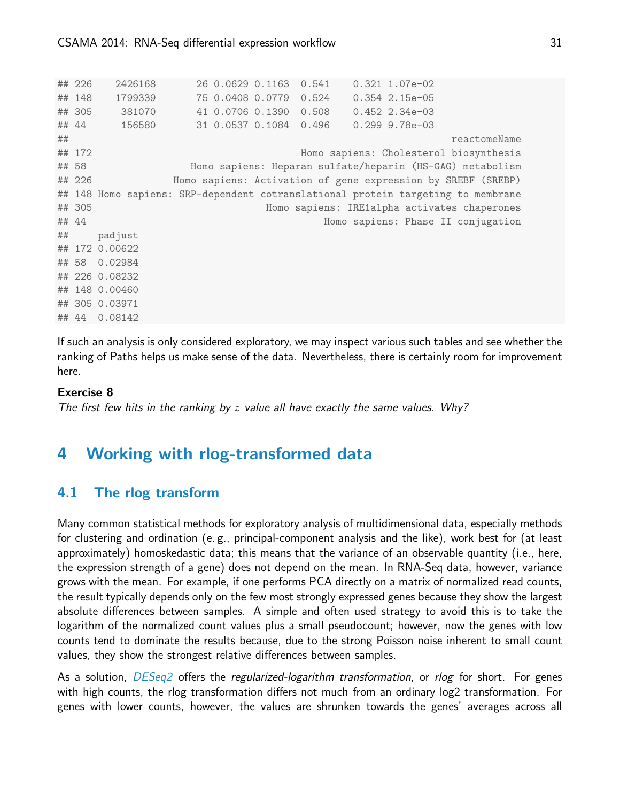```
## 226 2426168 26 0.0629 0.1163 0.541 0.321 1.07e-02
## 148 1799339 75 0.0408 0.0779 0.524 0.354 2.15e-05
## 305 381070 41 0.0706 0.1390 0.508 0.452 2.34e-03
## 44 156580 31 0.0537 0.1084 0.496 0.299 9.78e-03
## reactomeName
## 172 Homo sapiens: Cholesterol biosynthesis
## 58 Homo sapiens: Heparan sulfate/heparin (HS-GAG) metabolism
## 226 Homo sapiens: Activation of gene expression by SREBF (SREBP)
## 148 Homo sapiens: SRP-dependent cotranslational protein targeting to membrane
## 305 Homo sapiens: IRE1alpha activates chaperones
## 44 Homo sapiens: Phase II conjugation
## padjust
## 172 0.00622
## 58 0.02984
## 226 0.08232
## 148 0.00460
## 305 0.03971
## 44 0.08142
```
If such an analysis is only considered exploratory, we may inspect various such tables and see whether the ranking of Paths helps us make sense of the data. Nevertheless, there is certainly room for improvement here.

#### Exercise 8

The first few hits in the ranking by  $z$  value all have exactly the same values. Why?

## <span id="page-30-0"></span>4 Working with rlog-transformed data

## <span id="page-30-1"></span>4.1 The rlog transform

Many common statistical methods for exploratory analysis of multidimensional data, especially methods for clustering and ordination (e. g., principal-component analysis and the like), work best for (at least approximately) homoskedastic data; this means that the variance of an observable quantity (i.e., here, the expression strength of a gene) does not depend on the mean. In RNA-Seq data, however, variance grows with the mean. For example, if one performs PCA directly on a matrix of normalized read counts, the result typically depends only on the few most strongly expressed genes because they show the largest absolute differences between samples. A simple and often used strategy to avoid this is to take the logarithm of the normalized count values plus a small pseudocount; however, now the genes with low counts tend to dominate the results because, due to the strong Poisson noise inherent to small count values, they show the strongest relative differences between samples.

As a solution, *[DESeq2](http://bioconductor.org/packages/release/bioc/html/DESeq2.html)* offers the *regularized-logarithm transformation*, or *rlog* for short. For genes with high counts, the rlog transformation differs not much from an ordinary log2 transformation. For genes with lower counts, however, the values are shrunken towards the genes' averages across all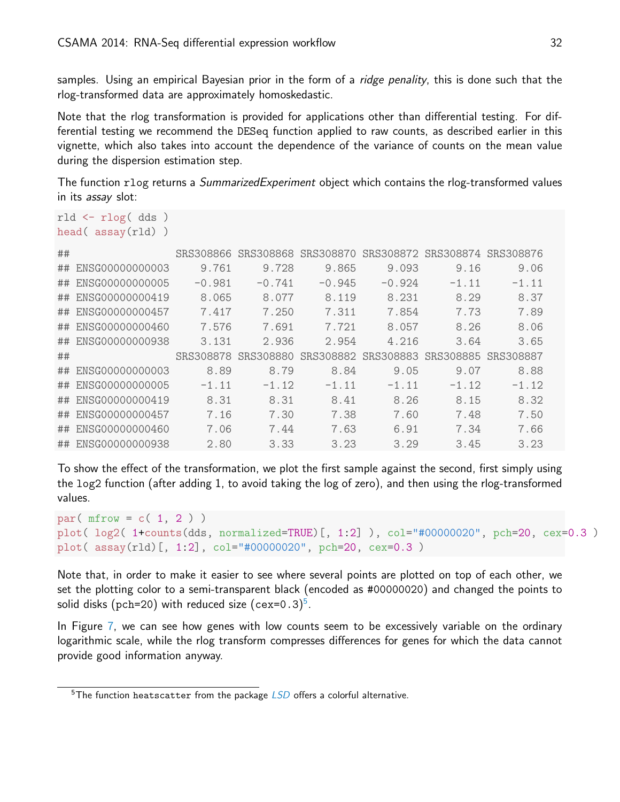samples. Using an empirical Bayesian prior in the form of a *ridge penality*, this is done such that the rlog-transformed data are approximately homoskedastic.

Note that the rlog transformation is provided for applications other than differential testing. For differential testing we recommend the DESeq function applied to raw counts, as described earlier in this vignette, which also takes into account the dependence of the variance of counts on the mean value during the dispersion estimation step.

The function rlog returns a *SummarizedExperiment* object which contains the rlog-transformed values in its assay slot:

```
rld <- rlog( dds )
head( assay(rld) )
```

| ## |                    | SRS308866 |           | SRS308868 SRS308870 |           | SRS308872 SRS308874 SRS308876 |         |
|----|--------------------|-----------|-----------|---------------------|-----------|-------------------------------|---------|
| ## | ENSG00000000003    | 9.761     | 9.728     | 9.865               | 9.093     | 9.16                          | 9.06    |
| ## | ENSG00000000005    | $-0.981$  | $-0.741$  | $-0.945$            | $-0.924$  | $-1.11$                       | $-1.11$ |
| ## | ENSG00000000419    | 8.065     | 8.077     | 8.119               | 8.231     | 8.29                          | 8.37    |
| ## | ENSG00000000457    | 7.417     | 7.250     | 7.311               | 7.854     | 7.73                          | 7.89    |
| ## | ENSG00000000460    | 7.576     | 7.691     | 7.721               | 8.057     | 8.26                          | 8.06    |
| ## | ENSG00000000938    | 3.131     | 2.936     | 2.954               | 4.216     | 3.64                          | 3.65    |
|    |                    |           |           |                     |           |                               |         |
| ## |                    | SRS308878 | SRS308880 | SRS308882           | SRS308883 | SRS308885 SRS308887           |         |
| ## | ENSG00000000003    | 8.89      | 8.79      | 8.84                | 9.05      | 9.07                          | 8.88    |
| ## | ENSG00000000005    | $-1.11$   | $-1.12$   | $-1.11$             | $-1.11$   | $-1.12$                       | $-1.12$ |
| ## | ENSG00000000419    | 8.31      | 8.31      | 8.41                | 8.26      | 8.15                          | 8.32    |
|    | ## ENSG00000000457 | 7.16      | 7.30      | 7.38                | 7.60      | 7.48                          | 7.50    |
| ## | ENSG00000000460    | 7.06      | 7.44      | 7.63                | 6.91      | 7.34                          | 7.66    |

To show the effect of the transformation, we plot the first sample against the second, first simply using the log2 function (after adding 1, to avoid taking the log of zero), and then using the rlog-transformed values.

```
par( mfrow = c( 1, 2 ) )
plot( log2( 1+counts(dds, normalized=TRUE)[, 1:2] ), col="#00000020", pch=20, cex=0.3 )
plot( assay(rld)[, 1:2], col="#00000020", pch=20, cex=0.3 )
```
Note that, in order to make it easier to see where several points are plotted on top of each other, we set the plotting color to a semi-transparent black (encoded as #00000020) and changed the points to solid disks (pch=20) with reduced size (cex=0.3)<sup>[5](#page-31-1)</sup>.

In Figure [7,](#page-32-0) we can see how genes with low counts seem to be excessively variable on the ordinary logarithmic scale, while the rlog transform compresses differences for genes for which the data cannot provide good information anyway.

<span id="page-31-1"></span><span id="page-31-0"></span> $5$ The function heatscatter from the package  $LSD$  offers a colorful alternative.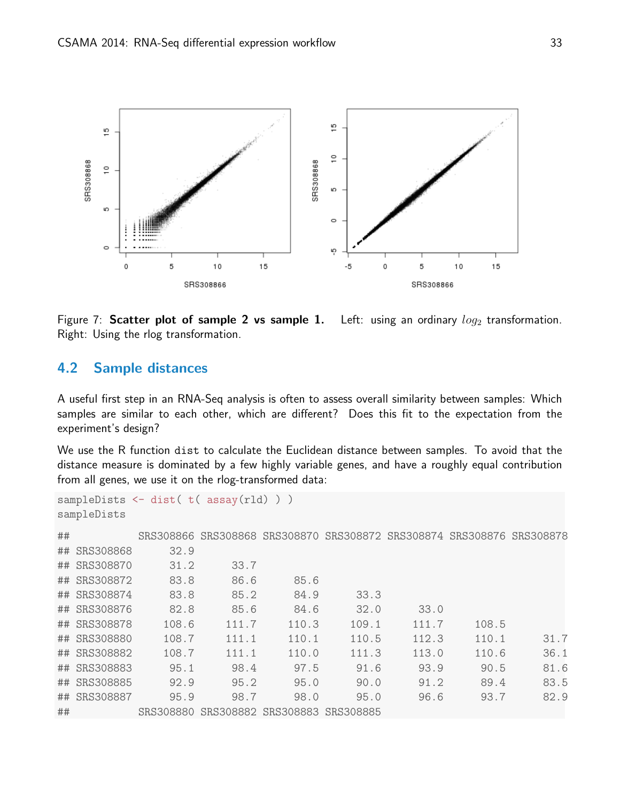

<span id="page-32-0"></span>Figure 7: Scatter plot of sample 2 vs sample 1. Left: using an ordinary  $log_2$  transformation. Right: Using the rlog transformation.

## 4.2 Sample distances

A useful first step in an RNA-Seq analysis is often to assess overall similarity between samples: Which samples are similar to each other, which are different? Does this fit to the expectation from the experiment's design?

We use the R function dist to calculate the Euclidean distance between samples. To avoid that the distance measure is dominated by a few highly variable genes, and have a roughly equal contribution from all genes, we use it on the rlog-transformed data:

```
sampleDists <- dist( t( assay(rld) ) )
sampleDists
## SRS308866 SRS308868 SRS308870 SRS308872 SRS308874 SRS308876 SRS308878
## SRS308868 32.9
## SRS308870 31.2 33.7
## SRS308872 83.8 86.6 85.6
## SRS308874 83.8 85.2 84.9 33.3
## SRS308876 82.8 85.6 84.6 32.0 33.0
## SRS308878 108.6 111.7 110.3 109.1 111.7 108.5
## SRS308880 108.7 111.1 110.1 110.5 112.3 110.1 31.7
## SRS308882 108.7 111.1 110.0 111.3 113.0 110.6 36.1
## SRS308883 95.1 98.4 97.5 91.6 93.9 90.5 81.6
## SRS308885 92.9 95.2 95.0 90.0 91.2 89.4 83.5
## SRS308887 95.9 98.7 98.0 95.0 96.6 93.7 82.9
## SRS308880 SRS308882 SRS308883 SRS308885
```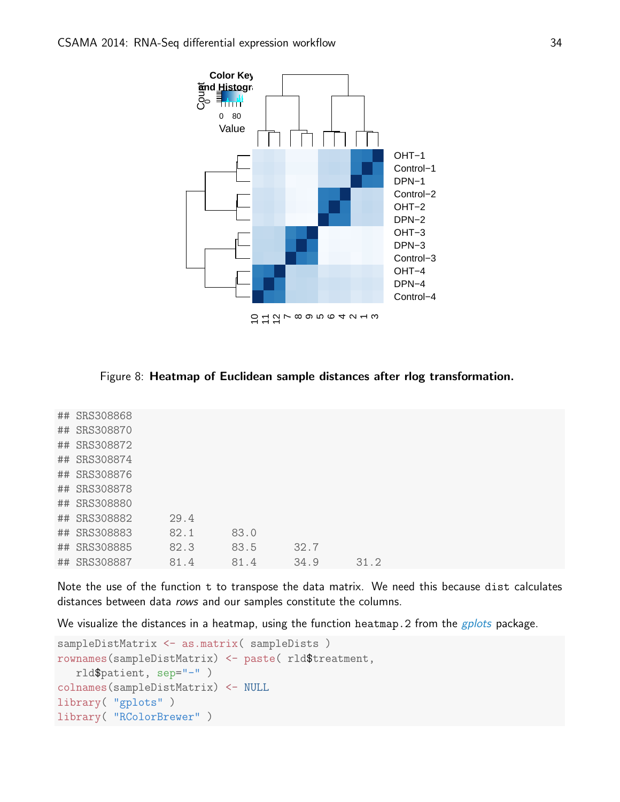

<span id="page-33-0"></span>Figure 8: Heatmap of Euclidean sample distances after rlog transformation.

| ## SRS308868 |      |      |      |      |
|--------------|------|------|------|------|
| ## SRS308870 |      |      |      |      |
| ## SRS308872 |      |      |      |      |
| ## SRS308874 |      |      |      |      |
| ## SRS308876 |      |      |      |      |
| ## SRS308878 |      |      |      |      |
| ## SRS308880 |      |      |      |      |
| ## SRS308882 | 29.4 |      |      |      |
| ## SRS308883 | 82.1 | 83.0 |      |      |
| ## SRS308885 | 82.3 | 83.5 | 32.7 |      |
| ## SRS308887 | 81.4 | 81.4 | 34.9 | 31.2 |
|              |      |      |      |      |

Note the use of the function t to transpose the data matrix. We need this because dist calculates distances between data rows and our samples constitute the columns.

We visualize the distances in a heatmap, using the function heatmap. 2 from the *[gplots](http://cran.fhcrc.org/web/packages/gplots/index.html)* package.

```
sampleDistMatrix <- as.matrix( sampleDists )
rownames(sampleDistMatrix) <- paste( rld$treatment,
   rld$patient, sep="-" )
colnames(sampleDistMatrix) <- NULL
library( "gplots" )
library( "RColorBrewer" )
```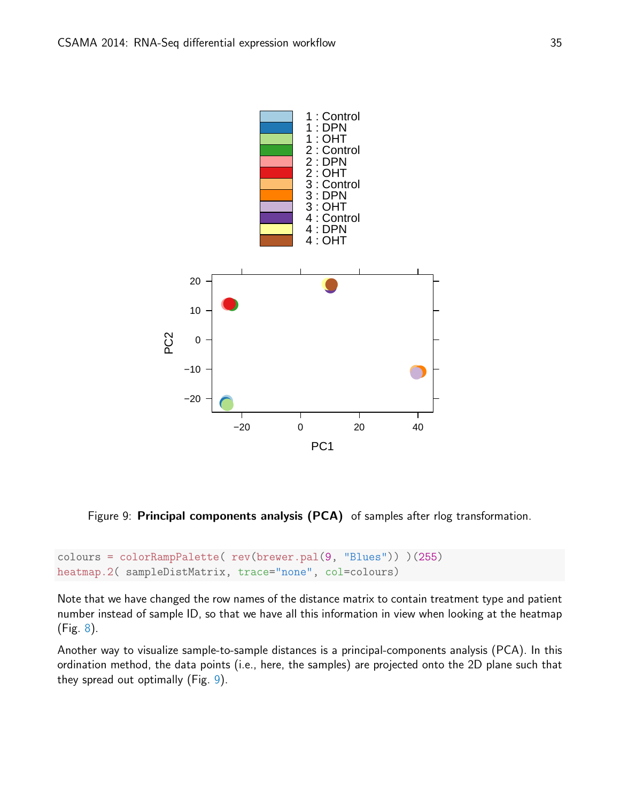

<span id="page-34-0"></span>Figure 9: Principal components analysis (PCA) of samples after rlog transformation.

```
colours = colorRampPalette( rev(brewer.pal(9, "Blues")) )(255)
heatmap.2( sampleDistMatrix, trace="none", col=colours)
```
Note that we have changed the row names of the distance matrix to contain treatment type and patient number instead of sample ID, so that we have all this information in view when looking at the heatmap (Fig. [8\)](#page-33-0).

Another way to visualize sample-to-sample distances is a principal-components analysis (PCA). In this ordination method, the data points (i.e., here, the samples) are projected onto the 2D plane such that they spread out optimally (Fig. [9\)](#page-34-0).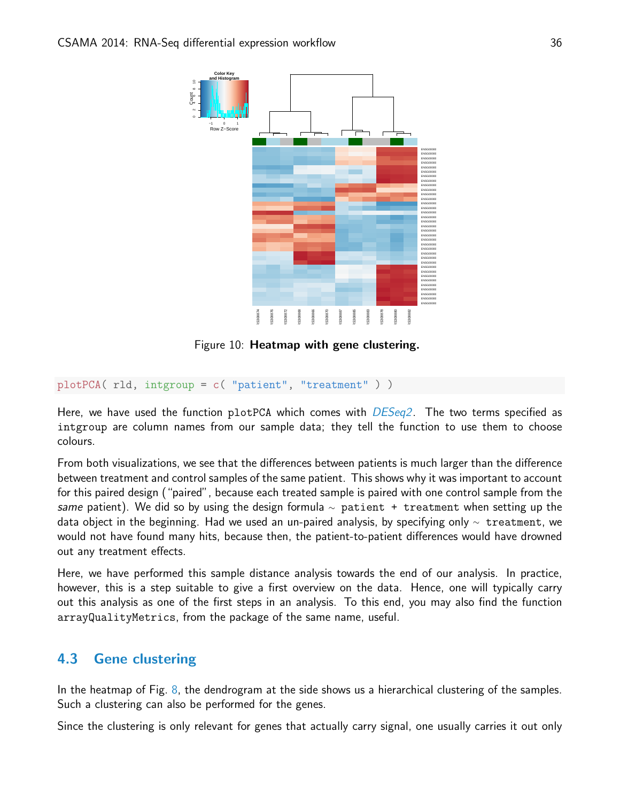

<span id="page-35-1"></span>Figure 10: Heatmap with gene clustering.

```
plotPCA( rld, intgroup = c( "patient", "treatment" ) )
```
Here, we have used the function plotPCA which comes with  $DESeq2$ . The two terms specified as intgroup are column names from our sample data; they tell the function to use them to choose colours.

From both visualizations, we see that the differences between patients is much larger than the difference between treatment and control samples of the same patient. This shows why it was important to account for this paired design ("paired", because each treated sample is paired with one control sample from the same patient). We did so by using the design formula  $\sim$  patient + treatment when setting up the data object in the beginning. Had we used an un-paired analysis, by specifying only  $\sim$  treatment, we would not have found many hits, because then, the patient-to-patient differences would have drowned out any treatment effects.

Here, we have performed this sample distance analysis towards the end of our analysis. In practice, however, this is a step suitable to give a first overview on the data. Hence, one will typically carry out this analysis as one of the first steps in an analysis. To this end, you may also find the function arrayQualityMetrics, from the package of the same name, useful.

## <span id="page-35-0"></span>4.3 Gene clustering

In the heatmap of Fig. [8,](#page-33-0) the dendrogram at the side shows us a hierarchical clustering of the samples. Such a clustering can also be performed for the genes.

Since the clustering is only relevant for genes that actually carry signal, one usually carries it out only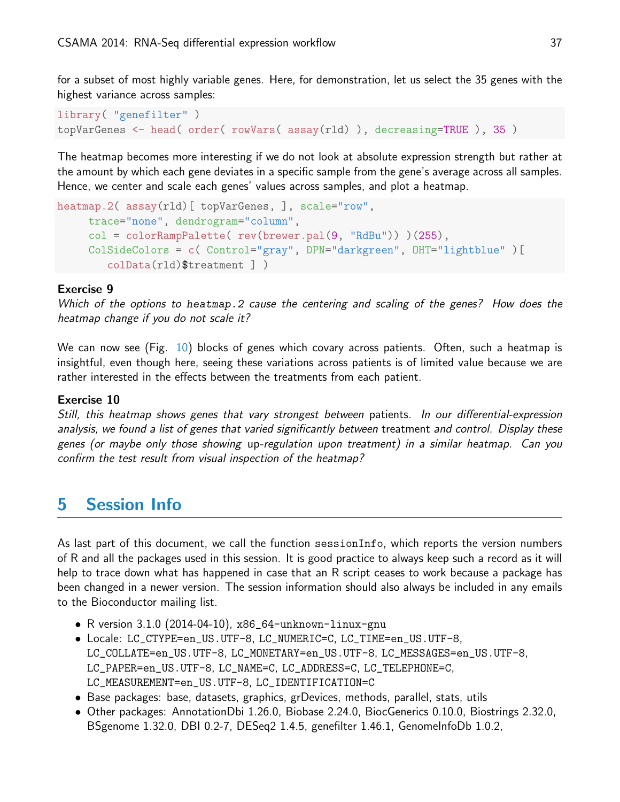for a subset of most highly variable genes. Here, for demonstration, let us select the 35 genes with the highest variance across samples:

```
library( "genefilter" )
topVarGenes <- head( order( rowVars( assay(rld) ), decreasing=TRUE ), 35 )
```
The heatmap becomes more interesting if we do not look at absolute expression strength but rather at the amount by which each gene deviates in a specific sample from the gene's average across all samples. Hence, we center and scale each genes' values across samples, and plot a heatmap.

```
heatmap.2( assay(rld)[ topVarGenes, ], scale="row",
     trace="none", dendrogram="column",
     col = colorRampPalette( rev(brewer.pal(9, "RdBu")) )(255),
     ColSideColors = c( Control="gray", DPN="darkgreen", OHT="lightblue" )[
        colData(rld)$treatment ] )
```
#### Exercise 9

Which of the options to heatmap.2 cause the centering and scaling of the genes? How does the heatmap change if you do not scale it?

We can now see (Fig. [10\)](#page-35-1) blocks of genes which covary across patients. Often, such a heatmap is insightful, even though here, seeing these variations across patients is of limited value because we are rather interested in the effects between the treatments from each patient.

#### Exercise 10

Still, this heatmap shows genes that vary strongest between patients. In our differential-expression analysis, we found a list of genes that varied significantly between treatment and control. Display these genes (or maybe only those showing up-regulation upon treatment) in a similar heatmap. Can you confirm the test result from visual inspection of the heatmap?

# <span id="page-36-0"></span>5 Session Info

As last part of this document, we call the function sessionInfo, which reports the version numbers of R and all the packages used in this session. It is good practice to always keep such a record as it will help to trace down what has happened in case that an R script ceases to work because a package has been changed in a newer version. The session information should also always be included in any emails to the Bioconductor mailing list.

- R version 3.1.0 (2014-04-10), x86\_64-unknown-linux-gnu
- Locale: LC\_CTYPE=en\_US.UTF-8, LC\_NUMERIC=C, LC\_TIME=en\_US.UTF-8, LC\_COLLATE=en\_US.UTF-8, LC\_MONETARY=en\_US.UTF-8, LC\_MESSAGES=en\_US.UTF-8, LC\_PAPER=en\_US.UTF-8, LC\_NAME=C, LC\_ADDRESS=C, LC\_TELEPHONE=C, LC\_MEASUREMENT=en\_US.UTF-8, LC\_IDENTIFICATION=C
- Base packages: base, datasets, graphics, grDevices, methods, parallel, stats, utils
- Other packages: AnnotationDbi 1.26.0, Biobase 2.24.0, BiocGenerics 0.10.0, Biostrings 2.32.0, BSgenome 1.32.0, DBI 0.2-7, DESeq2 1.4.5, genefilter 1.46.1, GenomeInfoDb 1.0.2,